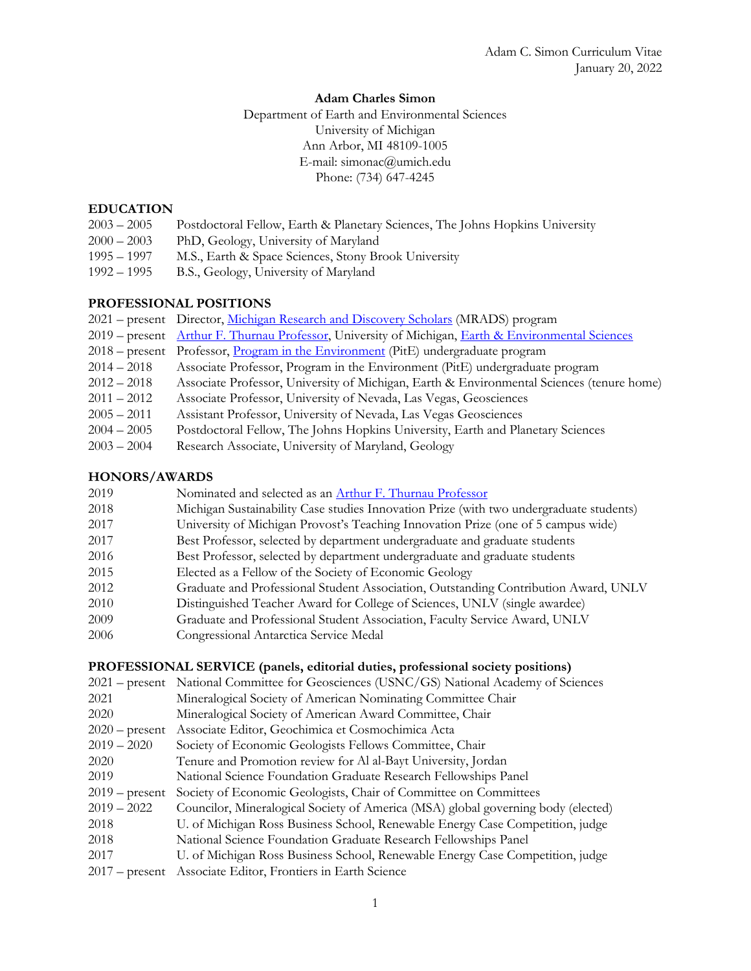# **Adam Charles Simon**

Department of Earth and Environmental Sciences University of Michigan Ann Arbor, MI 48109-1005 E-mail: simonac@umich.edu Phone: (734) 647-4245

# **EDUCATION**

- 2003 2005 Postdoctoral Fellow, Earth & Planetary Sciences, The Johns Hopkins University
- 2000 2003 PhD, Geology, University of Maryland 1995 – 1997 M.S., Earth & Space Sciences, Stony Brook University
- 1992 1995 B.S., Geology, University of Maryland

# **PROFESSIONAL POSITIONS**

- 2021 present Director, Michigan Research and Discovery Scholars (MRADS) program
- 2019 present Arthur F. Thurnau Professor, University of Michigan, Earth & Environmental Sciences
- 2018 present Professor, Program in the Environment (PitE) undergraduate program
- 2014 2018 Associate Professor, Program in the Environment (PitE) undergraduate program
- 2012 2018 Associate Professor, University of Michigan, Earth & Environmental Sciences (tenure home)
- 2011 2012 Associate Professor, University of Nevada, Las Vegas, Geosciences
- 2005 2011 Assistant Professor, University of Nevada, Las Vegas Geosciences
- 2004 2005 Postdoctoral Fellow, The Johns Hopkins University, Earth and Planetary Sciences
- 2003 2004 Research Associate, University of Maryland, Geology

# **HONORS/AWARDS**

| 2019 | Nominated and selected as an Arthur F. Thurnau Professor                                |
|------|-----------------------------------------------------------------------------------------|
| 2018 | Michigan Sustainability Case studies Innovation Prize (with two undergraduate students) |
| 2017 | University of Michigan Provost's Teaching Innovation Prize (one of 5 campus wide)       |
| 2017 | Best Professor, selected by department undergraduate and graduate students              |
| 2016 | Best Professor, selected by department undergraduate and graduate students              |
| 2015 | Elected as a Fellow of the Society of Economic Geology                                  |
| 2012 | Graduate and Professional Student Association, Outstanding Contribution Award, UNLV     |
| 2010 | Distinguished Teacher Award for College of Sciences, UNLV (single awardee)              |
| 2009 | Graduate and Professional Student Association, Faculty Service Award, UNLV              |
| 2006 | Congressional Antarctica Service Medal                                                  |

# **PROFESSIONAL SERVICE (panels, editorial duties, professional society positions)**

|                  | 2021 – present National Committee for Geosciences (USNC/GS) National Academy of Sciences |
|------------------|------------------------------------------------------------------------------------------|
| 2021             | Mineralogical Society of American Nominating Committee Chair                             |
| 2020             | Mineralogical Society of American Award Committee, Chair                                 |
| $2020$ – present | Associate Editor, Geochimica et Cosmochimica Acta                                        |
| $2019 - 2020$    | Society of Economic Geologists Fellows Committee, Chair                                  |
| 2020             | Tenure and Promotion review for Al al-Bayt University, Jordan                            |
| 2019             | National Science Foundation Graduate Research Fellowships Panel                          |
| $2019$ – present | Society of Economic Geologists, Chair of Committee on Committees                         |
| $2019 - 2022$    | Councilor, Mineralogical Society of America (MSA) global governing body (elected)        |
| 2018             | U. of Michigan Ross Business School, Renewable Energy Case Competition, judge            |
| 2018             | National Science Foundation Graduate Research Fellowships Panel                          |
| 2017             | U. of Michigan Ross Business School, Renewable Energy Case Competition, judge            |
| $2017$ – present | Associate Editor, Frontiers in Earth Science                                             |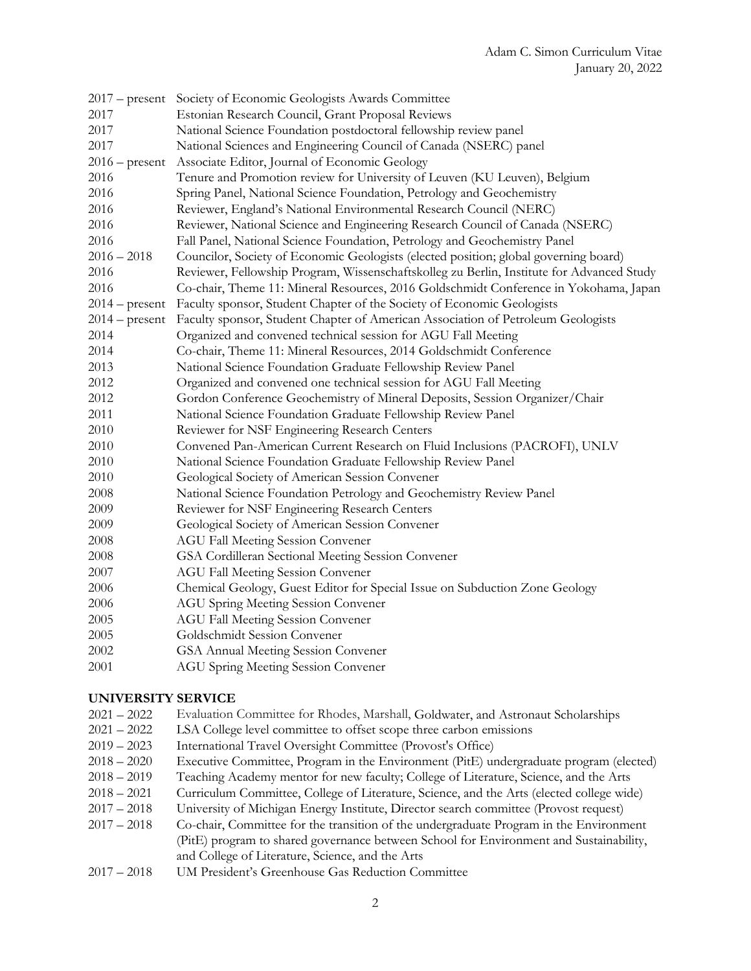|                  | 2017 – present Society of Economic Geologists Awards Committee                            |
|------------------|-------------------------------------------------------------------------------------------|
| 2017             | Estonian Research Council, Grant Proposal Reviews                                         |
| 2017             | National Science Foundation postdoctoral fellowship review panel                          |
| 2017             | National Sciences and Engineering Council of Canada (NSERC) panel                         |
| $2016$ – present | Associate Editor, Journal of Economic Geology                                             |
| 2016             | Tenure and Promotion review for University of Leuven (KU Leuven), Belgium                 |
| 2016             | Spring Panel, National Science Foundation, Petrology and Geochemistry                     |
| 2016             | Reviewer, England's National Environmental Research Council (NERC)                        |
| 2016             | Reviewer, National Science and Engineering Research Council of Canada (NSERC)             |
| 2016             | Fall Panel, National Science Foundation, Petrology and Geochemistry Panel                 |
| $2016 - 2018$    | Councilor, Society of Economic Geologists (elected position; global governing board)      |
| 2016             | Reviewer, Fellowship Program, Wissenschaftskolleg zu Berlin, Institute for Advanced Study |
| 2016             | Co-chair, Theme 11: Mineral Resources, 2016 Goldschmidt Conference in Yokohama, Japan     |
| $2014$ – present | Faculty sponsor, Student Chapter of the Society of Economic Geologists                    |
| $2014$ – present | Faculty sponsor, Student Chapter of American Association of Petroleum Geologists          |
| 2014             | Organized and convened technical session for AGU Fall Meeting                             |
| 2014             | Co-chair, Theme 11: Mineral Resources, 2014 Goldschmidt Conference                        |
| 2013             | National Science Foundation Graduate Fellowship Review Panel                              |
| 2012             | Organized and convened one technical session for AGU Fall Meeting                         |
| 2012             | Gordon Conference Geochemistry of Mineral Deposits, Session Organizer/Chair               |
| 2011             | National Science Foundation Graduate Fellowship Review Panel                              |
| 2010             | Reviewer for NSF Engineering Research Centers                                             |
| 2010             | Convened Pan-American Current Research on Fluid Inclusions (PACROFI), UNLV                |
| 2010             | National Science Foundation Graduate Fellowship Review Panel                              |
| 2010             | Geological Society of American Session Convener                                           |
| 2008             | National Science Foundation Petrology and Geochemistry Review Panel                       |
| 2009             | Reviewer for NSF Engineering Research Centers                                             |
| 2009             | Geological Society of American Session Convener                                           |
| 2008             | <b>AGU Fall Meeting Session Convener</b>                                                  |
| 2008             | GSA Cordilleran Sectional Meeting Session Convener                                        |
| 2007             | <b>AGU Fall Meeting Session Convener</b>                                                  |
| 2006             | Chemical Geology, Guest Editor for Special Issue on Subduction Zone Geology               |
| 2006             | <b>AGU Spring Meeting Session Convener</b>                                                |
| 2005             | <b>AGU Fall Meeting Session Convener</b>                                                  |
| 2005             | Goldschmidt Session Convener                                                              |
| 2002             | GSA Annual Meeting Session Convener                                                       |
| 2001             | <b>AGU Spring Meeting Session Convener</b>                                                |
|                  |                                                                                           |

# **UNIVERSITY SERVICE**

- 2021 2022 Evaluation Committee for Rhodes, Marshall, Goldwater, and Astronaut Scholarships
- 2021 2022 LSA College level committee to offset scope three carbon emissions
- 2019 2023 International Travel Oversight Committee (Provost's Office)
- 2018 2020 Executive Committee, Program in the Environment (PitE) undergraduate program (elected)
- 2018 2019 Teaching Academy mentor for new faculty; College of Literature, Science, and the Arts
- 2018 2021 Curriculum Committee, College of Literature, Science, and the Arts (elected college wide)
- 2017 2018 University of Michigan Energy Institute, Director search committee (Provost request)
- 2017 2018 Co-chair, Committee for the transition of the undergraduate Program in the Environment (PitE) program to shared governance between School for Environment and Sustainability, and College of Literature, Science, and the Arts
- 2017 2018 UM President's Greenhouse Gas Reduction Committee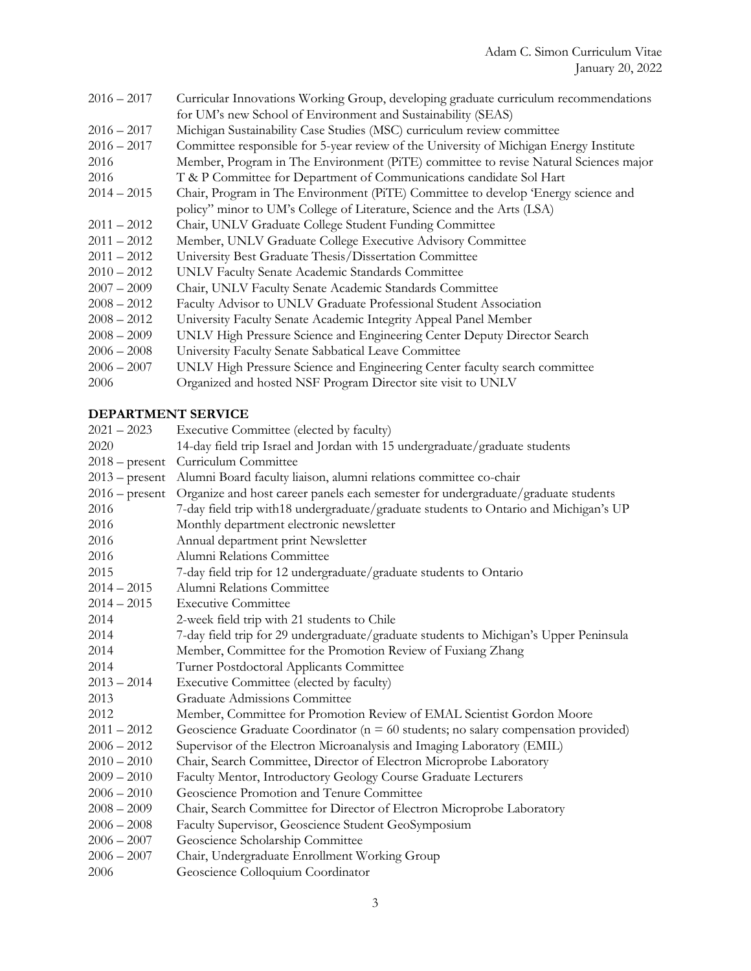| Curricular Innovations Working Group, developing graduate curriculum recommendations   |
|----------------------------------------------------------------------------------------|
| for UM's new School of Environment and Sustainability (SEAS)                           |
| Michigan Sustainability Case Studies (MSC) curriculum review committee                 |
| Committee responsible for 5-year review of the University of Michigan Energy Institute |
| Member, Program in The Environment (PiTE) committee to revise Natural Sciences major   |
| T & P Committee for Department of Communications candidate Sol Hart                    |
| Chair, Program in The Environment (PiTE) Committee to develop 'Energy science and      |
| policy" minor to UM's College of Literature, Science and the Arts (LSA)                |
| Chair, UNLV Graduate College Student Funding Committee                                 |
| Member, UNLV Graduate College Executive Advisory Committee                             |
| University Best Graduate Thesis/Dissertation Committee                                 |
| UNLV Faculty Senate Academic Standards Committee                                       |
| Chair, UNLV Faculty Senate Academic Standards Committee                                |
| Faculty Advisor to UNLV Graduate Professional Student Association                      |
| University Faculty Senate Academic Integrity Appeal Panel Member                       |
| UNLV High Pressure Science and Engineering Center Deputy Director Search               |
| University Faculty Senate Sabbatical Leave Committee                                   |
| UNLV High Pressure Science and Engineering Center faculty search committee             |
| Organized and hosted NSF Program Director site visit to UNLV                           |
|                                                                                        |

# **DEPARTMENT SERVICE**

| $2021 - 2023$    | Executive Committee (elected by faculty)                                              |
|------------------|---------------------------------------------------------------------------------------|
| 2020             | 14-day field trip Israel and Jordan with 15 undergraduate/graduate students           |
| $2018$ – present | Curriculum Committee                                                                  |
| $2013$ – present | Alumni Board faculty liaison, alumni relations committee co-chair                     |
| $2016$ – present | Organize and host career panels each semester for undergraduate/graduate students     |
| 2016             | 7-day field trip with18 undergraduate/graduate students to Ontario and Michigan's UP  |
| 2016             | Monthly department electronic newsletter                                              |
| 2016             | Annual department print Newsletter                                                    |
| 2016             | Alumni Relations Committee                                                            |
| 2015             | 7-day field trip for 12 undergraduate/graduate students to Ontario                    |
| $2014 - 2015$    | Alumni Relations Committee                                                            |
| $2014 - 2015$    | <b>Executive Committee</b>                                                            |
| 2014             | 2-week field trip with 21 students to Chile                                           |
| 2014             | 7-day field trip for 29 undergraduate/graduate students to Michigan's Upper Peninsula |
| 2014             | Member, Committee for the Promotion Review of Fuxiang Zhang                           |
| 2014             | Turner Postdoctoral Applicants Committee                                              |
| $2013 - 2014$    | Executive Committee (elected by faculty)                                              |
| 2013             | <b>Graduate Admissions Committee</b>                                                  |
| 2012             | Member, Committee for Promotion Review of EMAL Scientist Gordon Moore                 |
| $2011 - 2012$    | Geoscience Graduate Coordinator ( $n = 60$ students; no salary compensation provided) |
| $2006 - 2012$    | Supervisor of the Electron Microanalysis and Imaging Laboratory (EMIL)                |
| $2010 - 2010$    | Chair, Search Committee, Director of Electron Microprobe Laboratory                   |
| $2009 - 2010$    | Faculty Mentor, Introductory Geology Course Graduate Lecturers                        |
| $2006 - 2010$    | Geoscience Promotion and Tenure Committee                                             |
| $2008 - 2009$    | Chair, Search Committee for Director of Electron Microprobe Laboratory                |
| $2006 - 2008$    | Faculty Supervisor, Geoscience Student GeoSymposium                                   |
| $2006 - 2007$    | Geoscience Scholarship Committee                                                      |
| $2006 - 2007$    | Chair, Undergraduate Enrollment Working Group                                         |
| 2006             | Geoscience Colloquium Coordinator                                                     |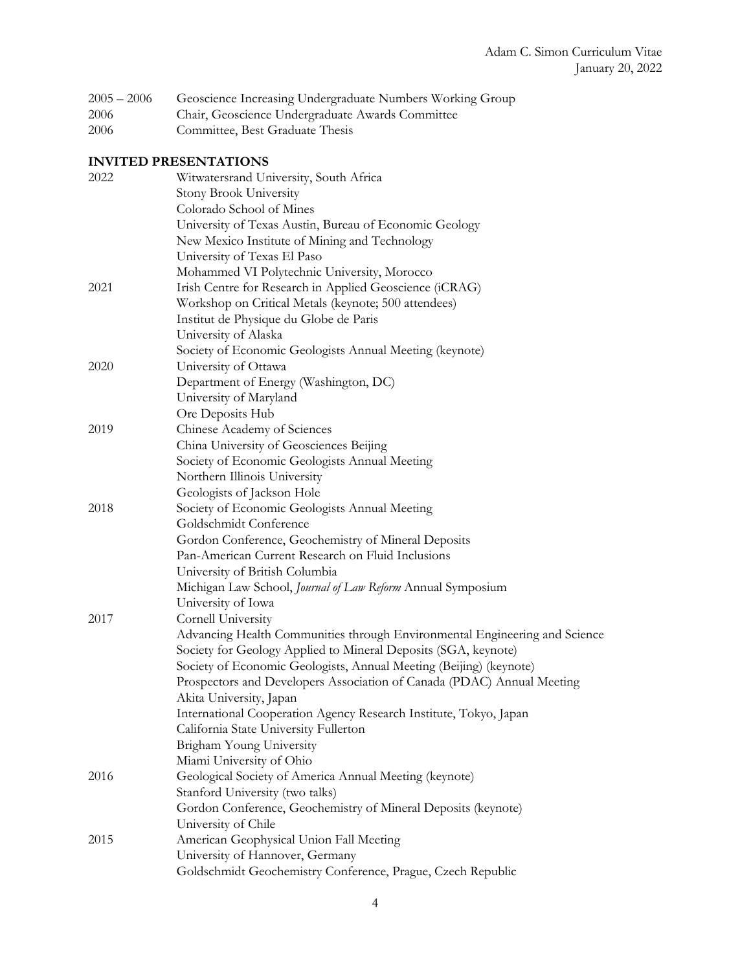| $2005 - 2006$ |  | Geoscience Increasing Undergraduate Numbers Working Group |  |  |
|---------------|--|-----------------------------------------------------------|--|--|
|               |  |                                                           |  |  |

- 2006 Chair, Geoscience Undergraduate Awards Committee
- 2006 Committee, Best Graduate Thesis

# **INVITED PRESENTATIONS**

| 2022 | Witwatersrand University, South Africa                                     |
|------|----------------------------------------------------------------------------|
|      | Stony Brook University                                                     |
|      | Colorado School of Mines                                                   |
|      | University of Texas Austin, Bureau of Economic Geology                     |
|      | New Mexico Institute of Mining and Technology                              |
|      | University of Texas El Paso                                                |
|      | Mohammed VI Polytechnic University, Morocco                                |
| 2021 | Irish Centre for Research in Applied Geoscience (iCRAG)                    |
|      | Workshop on Critical Metals (keynote; 500 attendees)                       |
|      | Institut de Physique du Globe de Paris                                     |
|      | University of Alaska                                                       |
|      | Society of Economic Geologists Annual Meeting (keynote)                    |
| 2020 | University of Ottawa                                                       |
|      | Department of Energy (Washington, DC)                                      |
|      | University of Maryland                                                     |
|      | Ore Deposits Hub                                                           |
| 2019 | Chinese Academy of Sciences                                                |
|      | China University of Geosciences Beijing                                    |
|      | Society of Economic Geologists Annual Meeting                              |
|      | Northern Illinois University                                               |
|      | Geologists of Jackson Hole                                                 |
| 2018 | Society of Economic Geologists Annual Meeting                              |
|      | Goldschmidt Conference                                                     |
|      | Gordon Conference, Geochemistry of Mineral Deposits                        |
|      | Pan-American Current Research on Fluid Inclusions                          |
|      | University of British Columbia                                             |
|      | Michigan Law School, Journal of Law Reform Annual Symposium                |
|      | University of Iowa                                                         |
| 2017 | Cornell University                                                         |
|      | Advancing Health Communities through Environmental Engineering and Science |
|      | Society for Geology Applied to Mineral Deposits (SGA, keynote)             |
|      | Society of Economic Geologists, Annual Meeting (Beijing) (keynote)         |
|      | Prospectors and Developers Association of Canada (PDAC) Annual Meeting     |
|      | Akita University, Japan                                                    |
|      | International Cooperation Agency Research Institute, Tokyo, Japan          |
|      | California State University Fullerton                                      |
|      | Brigham Young University                                                   |
|      | Miami University of Ohio                                                   |
| 2016 | Geological Society of America Annual Meeting (keynote)                     |
|      | Stanford University (two talks)                                            |
|      | Gordon Conference, Geochemistry of Mineral Deposits (keynote)              |
|      | University of Chile                                                        |
| 2015 | American Geophysical Union Fall Meeting                                    |
|      | University of Hannover, Germany                                            |
|      | Goldschmidt Geochemistry Conference, Prague, Czech Republic                |
|      |                                                                            |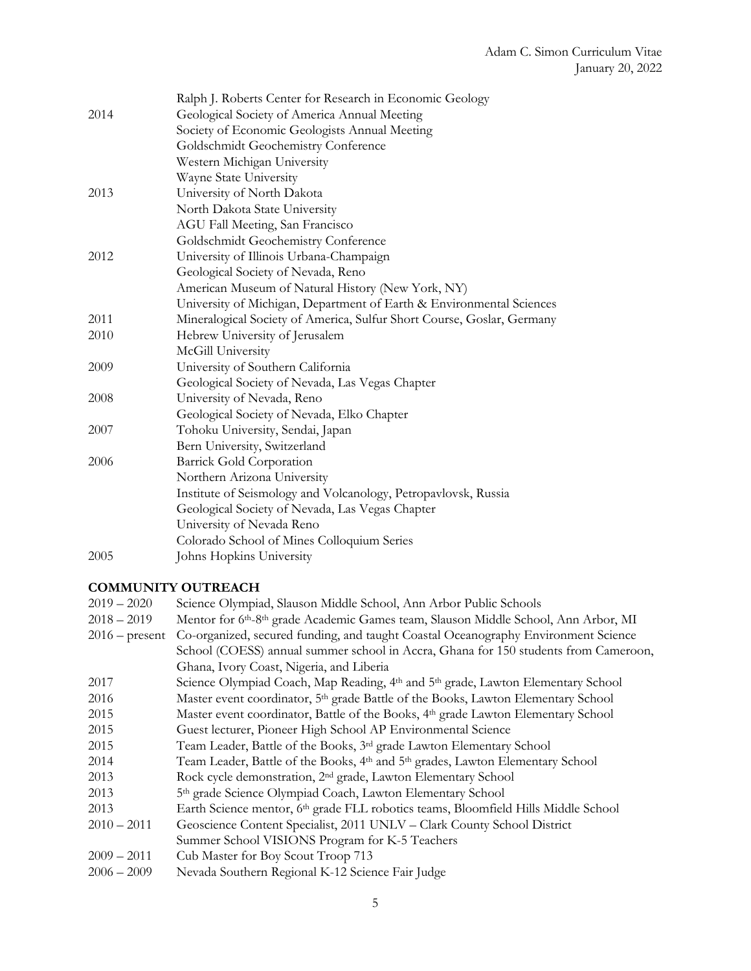|      | Ralph J. Roberts Center for Research in Economic Geology               |
|------|------------------------------------------------------------------------|
| 2014 | Geological Society of America Annual Meeting                           |
|      | Society of Economic Geologists Annual Meeting                          |
|      | Goldschmidt Geochemistry Conference                                    |
|      | Western Michigan University                                            |
|      | Wayne State University                                                 |
| 2013 | University of North Dakota                                             |
|      | North Dakota State University                                          |
|      | AGU Fall Meeting, San Francisco                                        |
|      | Goldschmidt Geochemistry Conference                                    |
| 2012 | University of Illinois Urbana-Champaign                                |
|      | Geological Society of Nevada, Reno                                     |
|      | American Museum of Natural History (New York, NY)                      |
|      | University of Michigan, Department of Earth & Environmental Sciences   |
| 2011 | Mineralogical Society of America, Sulfur Short Course, Goslar, Germany |
| 2010 | Hebrew University of Jerusalem                                         |
|      | McGill University                                                      |
| 2009 | University of Southern California                                      |
|      | Geological Society of Nevada, Las Vegas Chapter                        |
| 2008 | University of Nevada, Reno                                             |
|      | Geological Society of Nevada, Elko Chapter                             |
| 2007 | Tohoku University, Sendai, Japan                                       |
|      | Bern University, Switzerland                                           |
| 2006 | Barrick Gold Corporation                                               |
|      | Northern Arizona University                                            |
|      | Institute of Seismology and Volcanology, Petropavlovsk, Russia         |
|      | Geological Society of Nevada, Las Vegas Chapter                        |
|      | University of Nevada Reno                                              |
|      | Colorado School of Mines Colloquium Series                             |
| 2005 | Johns Hopkins University                                               |

# **COMMUNITY OUTREACH**

| $2019 - 2020$    | Science Olympiad, Slauson Middle School, Ann Arbor Public Schools                                      |
|------------------|--------------------------------------------------------------------------------------------------------|
| $2018 - 2019$    | Mentor for 6th-8th grade Academic Games team, Slauson Middle School, Ann Arbor, MI                     |
| $2016$ – present | Co-organized, secured funding, and taught Coastal Oceanography Environment Science                     |
|                  | School (COESS) annual summer school in Accra, Ghana for 150 students from Cameroon,                    |
|                  | Ghana, Ivory Coast, Nigeria, and Liberia                                                               |
| 2017             | Science Olympiad Coach, Map Reading, 4th and 5th grade, Lawton Elementary School                       |
| 2016             | Master event coordinator, 5 <sup>th</sup> grade Battle of the Books, Lawton Elementary School          |
| 2015             | Master event coordinator, Battle of the Books, 4 <sup>th</sup> grade Lawton Elementary School          |
| 2015             | Guest lecturer, Pioneer High School AP Environmental Science                                           |
| 2015             | Team Leader, Battle of the Books, 3 <sup>rd</sup> grade Lawton Elementary School                       |
| 2014             | Team Leader, Battle of the Books, 4 <sup>th</sup> and 5 <sup>th</sup> grades, Lawton Elementary School |
| 2013             | Rock cycle demonstration, 2 <sup>nd</sup> grade, Lawton Elementary School                              |
| 2013             | 5th grade Science Olympiad Coach, Lawton Elementary School                                             |
| 2013             | Earth Science mentor, 6th grade FLL robotics teams, Bloomfield Hills Middle School                     |
| $2010 - 2011$    | Geoscience Content Specialist, 2011 UNLV - Clark County School District                                |
|                  | Summer School VISIONS Program for K-5 Teachers                                                         |
| $2009 - 2011$    | Cub Master for Boy Scout Troop 713                                                                     |
| $2006 - 2009$    | Nevada Southern Regional K-12 Science Fair Judge                                                       |
|                  |                                                                                                        |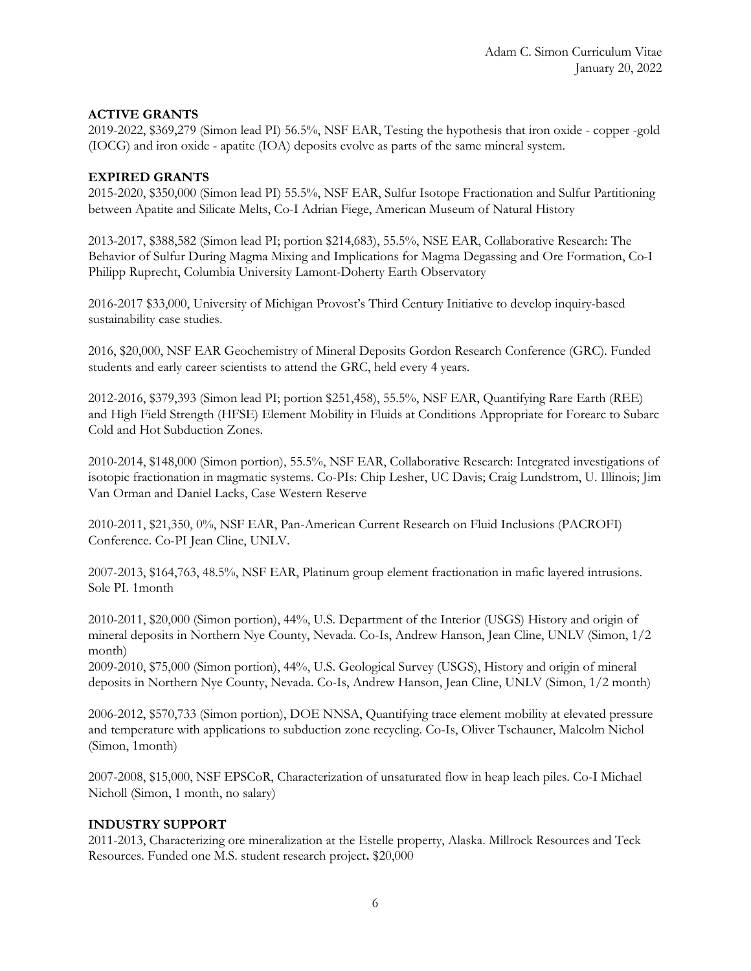# **ACTIVE GRANTS**

2019-2022, \$369,279 (Simon lead PI) 56.5%, NSF EAR, Testing the hypothesis that iron oxide - copper -gold (IOCG) and iron oxide - apatite (IOA) deposits evolve as parts of the same mineral system.

# **EXPIRED GRANTS**

2015-2020, \$350,000 (Simon lead PI) 55.5%, NSF EAR, Sulfur Isotope Fractionation and Sulfur Partitioning between Apatite and Silicate Melts, Co-I Adrian Fiege, American Museum of Natural History

2013-2017, \$388,582 (Simon lead PI; portion \$214,683), 55.5%, NSE EAR, Collaborative Research: The Behavior of Sulfur During Magma Mixing and Implications for Magma Degassing and Ore Formation, Co-I Philipp Ruprecht, Columbia University Lamont-Doherty Earth Observatory

2016-2017 \$33,000, University of Michigan Provost's Third Century Initiative to develop inquiry-based sustainability case studies.

2016, \$20,000, NSF EAR Geochemistry of Mineral Deposits Gordon Research Conference (GRC). Funded students and early career scientists to attend the GRC, held every 4 years.

2012-2016, \$379,393 (Simon lead PI; portion \$251,458), 55.5%, NSF EAR, Quantifying Rare Earth (REE) and High Field Strength (HFSE) Element Mobility in Fluids at Conditions Appropriate for Forearc to Subarc Cold and Hot Subduction Zones.

2010-2014, \$148,000 (Simon portion), 55.5%, NSF EAR, Collaborative Research: Integrated investigations of isotopic fractionation in magmatic systems. Co-PIs: Chip Lesher, UC Davis; Craig Lundstrom, U. Illinois; Jim Van Orman and Daniel Lacks, Case Western Reserve

2010-2011, \$21,350, 0%, NSF EAR, Pan-American Current Research on Fluid Inclusions (PACROFI) Conference. Co-PI Jean Cline, UNLV.

2007-2013, \$164,763, 48.5%, NSF EAR, Platinum group element fractionation in mafic layered intrusions. Sole PI. 1month

2010-2011, \$20,000 (Simon portion), 44%, U.S. Department of the Interior (USGS) History and origin of mineral deposits in Northern Nye County, Nevada. Co-Is, Andrew Hanson, Jean Cline, UNLV (Simon, 1/2 month)

2009-2010, \$75,000 (Simon portion), 44%, U.S. Geological Survey (USGS), History and origin of mineral deposits in Northern Nye County, Nevada. Co-Is, Andrew Hanson, Jean Cline, UNLV (Simon, 1/2 month)

2006-2012, \$570,733 (Simon portion), DOE NNSA, Quantifying trace element mobility at elevated pressure and temperature with applications to subduction zone recycling. Co-Is, Oliver Tschauner, Malcolm Nichol (Simon, 1month)

2007-2008, \$15,000, NSF EPSCoR, Characterization of unsaturated flow in heap leach piles. Co-I Michael Nicholl (Simon, 1 month, no salary)

# **INDUSTRY SUPPORT**

2011-2013, Characterizing ore mineralization at the Estelle property, Alaska. Millrock Resources and Teck Resources. Funded one M.S. student research project**.** \$20,000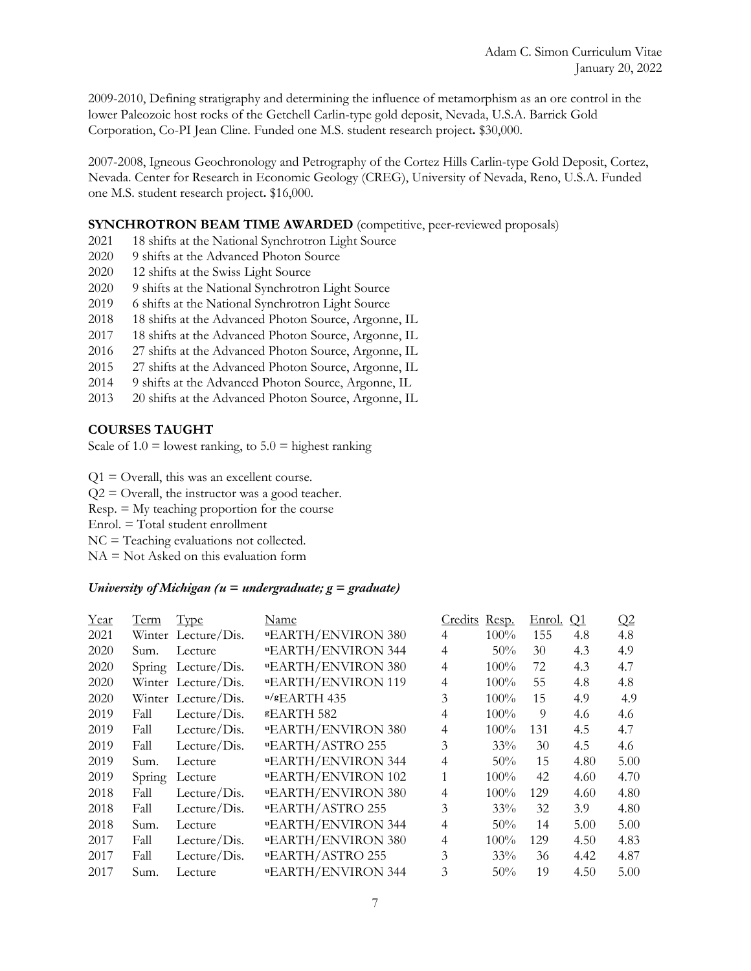2009-2010, Defining stratigraphy and determining the influence of metamorphism as an ore control in the lower Paleozoic host rocks of the Getchell Carlin-type gold deposit, Nevada, U.S.A. Barrick Gold Corporation, Co-PI Jean Cline. Funded one M.S. student research project**.** \$30,000.

2007-2008, Igneous Geochronology and Petrography of the Cortez Hills Carlin-type Gold Deposit, Cortez, Nevada. Center for Research in Economic Geology (CREG), University of Nevada, Reno, U.S.A. Funded one M.S. student research project**.** \$16,000.

### **SYNCHROTRON BEAM TIME AWARDED** (competitive, peer-reviewed proposals)

- 2021 18 shifts at the National Synchrotron Light Source
- 2020 9 shifts at the Advanced Photon Source
- 2020 12 shifts at the Swiss Light Source
- 2020 9 shifts at the National Synchrotron Light Source
- 2019 6 shifts at the National Synchrotron Light Source
- 2018 18 shifts at the Advanced Photon Source, Argonne, IL
- 2017 18 shifts at the Advanced Photon Source, Argonne, IL
- 2016 27 shifts at the Advanced Photon Source, Argonne, IL
- 2015 27 shifts at the Advanced Photon Source, Argonne, IL
- 2014 9 shifts at the Advanced Photon Source, Argonne, IL
- 2013 20 shifts at the Advanced Photon Source, Argonne, IL

### **COURSES TAUGHT**

Scale of  $1.0 =$  lowest ranking, to  $5.0 =$  highest ranking

 $Q1 =$  Overall, this was an excellent course.

 $Q2 =$  Overall, the instructor was a good teacher.

Resp. = My teaching proportion for the course

Enrol. = Total student enrollment

NC = Teaching evaluations not collected.

 $NA = Not$  Asked on this evaluation form

# *University of Michigan (u = undergraduate; g = graduate)*

| Year | <u>Term</u> | <b>Type</b>         | Name                      | Credits        | Resp.   | <u>Enrol.</u> | $\overline{\mathrm{Q}}$ 1 | Q2   |
|------|-------------|---------------------|---------------------------|----------------|---------|---------------|---------------------------|------|
| 2021 |             | Winter Lecture/Dis. | <b>"EARTH/ENVIRON 380</b> | 4              | $100\%$ | 155           | 4.8                       | 4.8  |
| 2020 | Sum.        | Lecture             | <b>uEARTH/ENVIRON 344</b> | 4              | $50\%$  | 30            | 4.3                       | 4.9  |
| 2020 | Spring      | Lecture/ $Dis.$     | <b>"EARTH/ENVIRON 380</b> | 4              | $100\%$ | 72            | 4.3                       | 4.7  |
| 2020 |             | Winter Lecture/Dis. | <b>"EARTH/ENVIRON 119</b> | 4              | $100\%$ | 55            | 4.8                       | 4.8  |
| 2020 |             | Winter Lecture/Dis. | $u/gEARTH$ 435            | 3              | 100%    | 15            | 4.9                       | 4.9  |
| 2019 | Fall        | Lecture/ $Dis.$     | <b>sEARTH 582</b>         | 4              | $100\%$ | 9             | 4.6                       | 4.6  |
| 2019 | Fall        | Lecture/ $Dis.$     | <b>"EARTH/ENVIRON 380</b> | $\overline{4}$ | $100\%$ | 131           | 4.5                       | 4.7  |
| 2019 | Fall        | Lecture/ $Dis.$     | <b>"EARTH/ASTRO 255</b>   | 3              | 33%     | 30            | 4.5                       | 4.6  |
| 2019 | Sum.        | Lecture             | <b>uEARTH/ENVIRON 344</b> | $\overline{4}$ | $50\%$  | 15            | 4.80                      | 5.00 |
| 2019 | Spring      | Lecture             | <b>"EARTH/ENVIRON 102</b> | 1              | $100\%$ | 42            | 4.60                      | 4.70 |
| 2018 | Fall        | Lecture/ $Dis.$     | <b>"EARTH/ENVIRON 380</b> | $\overline{4}$ | $100\%$ | 129           | 4.60                      | 4.80 |
| 2018 | Fall        | Lecture/ $Dis.$     | <b>uEARTH/ASTRO 255</b>   | 3              | 33%     | 32            | 3.9                       | 4.80 |
| 2018 | Sum.        | Lecture             | <b>uEARTH/ENVIRON 344</b> | $\overline{4}$ | 50%     | 14            | 5.00                      | 5.00 |
| 2017 | Fall        | Lecture/ $Dis.$     | <b>"EARTH/ENVIRON 380</b> | $\overline{4}$ | $100\%$ | 129           | 4.50                      | 4.83 |
| 2017 | Fall        | Lecture/Dis.        | <b>"EARTH/ASTRO 255</b>   | 3              | 33%     | 36            | 4.42                      | 4.87 |
| 2017 | Sum.        | Lecture             | <b>uEARTH/ENVIRON 344</b> | 3              | 50%     | 19            | 4.50                      | 5.00 |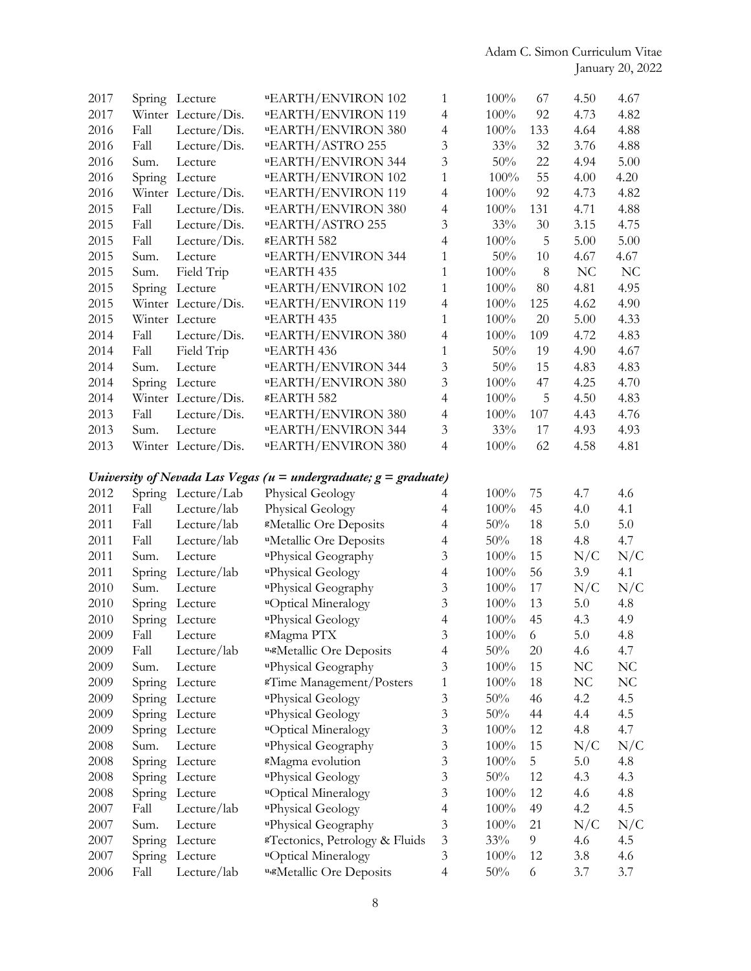| 2017 |        | Spring Lecture      | <b>"EARTH/ENVIRON 102</b>                                             | 1              | $100\%$ | 67  | 4.50 | 4.67           |
|------|--------|---------------------|-----------------------------------------------------------------------|----------------|---------|-----|------|----------------|
| 2017 |        | Winter Lecture/Dis. | <b>"EARTH/ENVIRON 119</b>                                             | $\overline{4}$ | 100%    | 92  | 4.73 | 4.82           |
| 2016 | Fall   | Lecture/ $Dis.$     | <b>"EARTH/ENVIRON 380</b>                                             | $\overline{4}$ | 100%    | 133 | 4.64 | 4.88           |
| 2016 | Fall   | Lecture/ $Dis.$     | <b>"EARTH/ASTRO 255</b>                                               | $\mathfrak{Z}$ | 33%     | 32  | 3.76 | 4.88           |
| 2016 | Sum.   | Lecture             | <b>"EARTH/ENVIRON 344</b>                                             | $\overline{3}$ | 50%     | 22  | 4.94 | 5.00           |
| 2016 | Spring | Lecture             | <b>"EARTH/ENVIRON 102</b>                                             | $\mathbf{1}$   | 100%    | 55  | 4.00 | 4.20           |
| 2016 |        | Winter Lecture/Dis. | <b>"EARTH/ENVIRON 119</b>                                             | $\overline{4}$ | $100\%$ | 92  | 4.73 | 4.82           |
| 2015 | Fall   | Lecture/ $Dis.$     | <b>"EARTH/ENVIRON 380</b>                                             | $\overline{4}$ | 100%    | 131 | 4.71 | 4.88           |
| 2015 | Fall   | Lecture/ $Dis.$     | <b>"EARTH/ASTRO 255</b>                                               | 3              | 33%     | 30  | 3.15 | 4.75           |
| 2015 | Fall   | Lecture/Dis.        | <b>sEARTH 582</b>                                                     | $\overline{4}$ | 100%    | 5   | 5.00 | 5.00           |
| 2015 | Sum.   | Lecture             | <b>"EARTH/ENVIRON 344</b>                                             | 1              | 50%     | 10  | 4.67 | 4.67           |
| 2015 | Sum.   | Field Trip          | uEARTH 435                                                            | $\mathbf{1}$   | 100%    | 8   | NC   | N <sub>C</sub> |
| 2015 | Spring | Lecture             | <b>"EARTH/ENVIRON 102</b>                                             | $\mathbf{1}$   | $100\%$ | 80  | 4.81 | 4.95           |
| 2015 |        | Winter Lecture/Dis. | <b>uEARTH/ENVIRON 119</b>                                             | $\overline{4}$ | 100%    | 125 | 4.62 | 4.90           |
| 2015 |        | Winter Lecture      | uEARTH 435                                                            | $\mathbf{1}$   | 100%    | 20  | 5.00 | 4.33           |
| 2014 | Fall   | Lecture/Dis.        | <b>"EARTH/ENVIRON 380</b>                                             | 4              | 100%    | 109 | 4.72 | 4.83           |
| 2014 | Fall   | Field Trip          | uEARTH 436                                                            | $\mathbf{1}$   | 50%     | 19  | 4.90 | 4.67           |
| 2014 | Sum.   | Lecture             | <b>"EARTH/ENVIRON 344</b>                                             | $\overline{3}$ | 50%     | 15  | 4.83 | 4.83           |
| 2014 | Spring | Lecture             | <b>"EARTH/ENVIRON 380</b>                                             | $\overline{3}$ | $100\%$ | 47  | 4.25 | 4.70           |
| 2014 |        | Winter Lecture/Dis. | <b>&amp;EARTH 582</b>                                                 | $\overline{4}$ | 100%    | 5   | 4.50 | 4.83           |
| 2013 | Fall   | Lecture/ $Dis.$     | <b>"EARTH/ENVIRON 380</b>                                             | $\overline{4}$ | 100%    | 107 | 4.43 | 4.76           |
| 2013 | Sum.   | Lecture             | <b>uEARTH/ENVIRON 344</b>                                             | $\mathfrak{Z}$ | 33%     | 17  | 4.93 | 4.93           |
| 2013 |        | Winter Lecture/Dis. | <b>"EARTH/ENVIRON 380</b>                                             | 4              | 100%    | 62  | 4.58 | 4.81           |
|      |        |                     |                                                                       |                |         |     |      |                |
|      |        |                     | University of Nevada Las Vegas ( $u =$ undergraduate; $g =$ graduate) |                |         |     |      |                |
| 2012 | Spring | Lecture/Lab         | Physical Geology                                                      | 4              | 100%    | 75  | 4.7  | 4.6            |
| 2011 | Fall   | Lecture/lab         | Physical Geology                                                      | $\overline{4}$ | 100%    | 45  | 4.0  | 4.1            |
| 2011 | Fall   | Lecture/lab         | <sup>s</sup> Metallic Ore Deposits                                    | 4              | 50%     | 18  | 5.0  | 5.0            |
| 2011 | Fall   | Lecture/lab         | <sup>u</sup> Metallic Ore Deposits                                    | $\overline{4}$ | 50%     | 18  | 4.8  | 4.7            |
| 2011 | Sum.   | Lecture             | uPhysical Geography                                                   | 3              | 100%    | 15  | N/C  | N/C            |
| 2011 | Spring | Lecture/lab         | uPhysical Geology                                                     | $\overline{4}$ | 100%    | 56  | 3.9  | 4.1            |
| 2010 | Sum.   | Lecture             | uPhysical Geography                                                   | $\mathfrak{Z}$ | 100%    | 17  | N/C  | N/C            |
| 2010 | Spring | Lecture             | "Optical Mineralogy                                                   | 3              | 100%    | 13  | 5.0  | 4.8            |
| 2010 | Spring | Lecture             | uPhysical Geology                                                     | $\overline{4}$ | 100%    | 45  | 4.3  | 4.9            |
| 2009 | Fall   | Lecture             | <sup>g</sup> Magma PTX                                                | 3              | $100\%$ | 6   | 5.0  | 4.8            |
| 2009 | Fall   | Lecture/lab         | u,gMetallic Ore Deposits                                              | $\overline{4}$ | 50%     | 20  | 4.6  | 4.7            |
| 2009 | Sum.   | Lecture             | uPhysical Geography                                                   | 3              | 100%    | 15  | NC   | NC             |
| 2009 | Spring | Lecture             | <sup>g</sup> Time Management/Posters                                  | 1              | 100%    | 18  | NC   | NC             |
| 2009 | Spring | Lecture             | uPhysical Geology                                                     | 3              | 50%     | 46  | 4.2  | 4.5            |
| 2009 | Spring | Lecture             | uPhysical Geology                                                     | 3              | 50%     | 44  | 4.4  | 4.5            |
| 2009 | Spring | Lecture             | uOptical Mineralogy                                                   | 3              | 100%    | 12  | 4.8  | 4.7            |
| 2008 | Sum.   | Lecture             | uPhysical Geography                                                   | 3              | 100%    | 15  | N/C  | N/C            |
| 2008 |        |                     | <sup>8</sup> Magma evolution                                          | $\mathfrak{Z}$ | $100\%$ | 5   | 5.0  | 4.8            |
|      | Spring | Lecture             |                                                                       | 3              | 50%     | 12  |      |                |
| 2008 | Spring | Lecture             | uPhysical Geology                                                     |                |         |     | 4.3  | 4.3            |
| 2008 | Spring | Lecture             | "Optical Mineralogy                                                   | 3              | 100%    | 12  | 4.6  | 4.8            |
| 2007 | Fall   | Lecture/lab         | uPhysical Geology                                                     | $\overline{4}$ | $100\%$ | 49  | 4.2  | 4.5            |
| 2007 | Sum.   | Lecture             | uPhysical Geography                                                   | 3              | 100%    | 21  | N/C  | N/C            |
| 2007 | Spring | Lecture             | <sup>g</sup> Tectonics, Petrology & Fluids                            | $\mathfrak{Z}$ | 33%     | 9   | 4.6  | 4.5            |
| 2007 | Spring | Lecture             | "Optical Mineralogy                                                   | 3              | 100%    | 12  | 3.8  | 4.6            |
| 2006 | Fall   | Lecture/lab         | u,gMetallic Ore Deposits                                              | $\overline{4}$ | 50%     | 6   | 3.7  | 3.7            |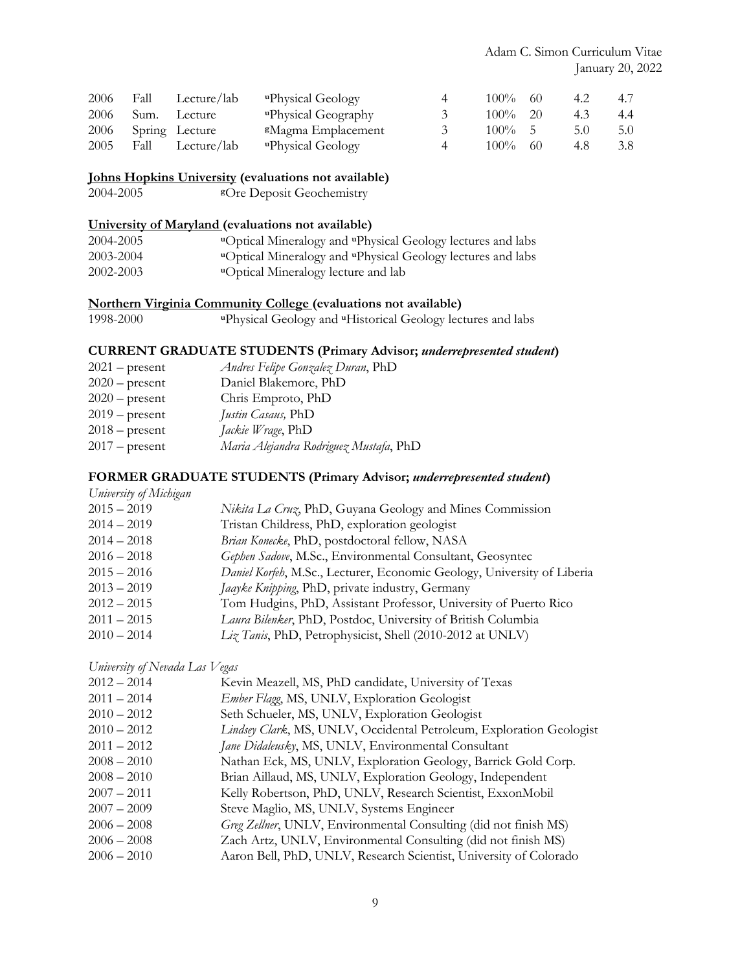| 2006 | Fall Lecture/lab    | "Physical Geology"             | $\overline{4}$ | $100\%$ 60  | 4.2 | 4.7 |
|------|---------------------|--------------------------------|----------------|-------------|-----|-----|
| 2006 | Sum. Lecture        | "Physical Geography"           | $\gamma$       | $100\%$ 20  | 4.3 | 4.4 |
|      | 2006 Spring Lecture | <sup>g</sup> Magma Emplacement |                | $100\% - 5$ | 5.0 | 5.0 |
| 2005 | Fall Lecture/lab    | "Physical Geology"             | 4              | $100\%$ 60  | 4.8 | 3.8 |

### **Johns Hopkins University (evaluations not available)**

2004-2005 **<sup>g</sup>**Ore Deposit Geochemistry

# **University of Maryland (evaluations not available)**

| 2004-2005 | "Optical Mineralogy and "Physical Geology lectures and labs" |
|-----------|--------------------------------------------------------------|
| 2003-2004 | "Optical Mineralogy and "Physical Geology lectures and labs" |
| 2002-2003 | "Optical Mineralogy lecture and lab                          |

### **Northern Virginia Community College (evaluations not available)**

1998-2000 **<sup>u</sup>**Physical Geology and **u**Historical Geology lectures and labs

# **CURRENT GRADUATE STUDENTS (Primary Advisor;** *underrepresented student***)**

| Andres Felipe Gonzalez Duran, PhD      |
|----------------------------------------|
| Daniel Blakemore, PhD                  |
| Chris Emproto, PhD                     |
| Justin Casaus, PhD                     |
| <i>Jackie Wrage</i> , PhD              |
| Maria Alejandra Rodriguez Mustafa, PhD |
|                                        |

### **FORMER GRADUATE STUDENTS (Primary Advisor;** *underrepresented student***)**

| University of Michigan |                                                                         |
|------------------------|-------------------------------------------------------------------------|
| $2015 - 2019$          | <i>Nikita La Cruz</i> , PhD, Guyana Geology and Mines Commission        |
| $2014 - 2019$          | Tristan Childress, PhD, exploration geologist                           |
| $2014 - 2018$          | Brian Konecke, PhD, postdoctoral fellow, NASA                           |
| $2016 - 2018$          | Gephen Sadove, M.Sc., Environmental Consultant, Geosyntec               |
| $2015 - 2016$          | Daniel Korfeh, M.Sc., Lecturer, Economic Geology, University of Liberia |
| $2013 - 2019$          | Jaayke Knipping, PhD, private industry, Germany                         |
| $2012 - 2015$          | Tom Hudgins, PhD, Assistant Professor, University of Puerto Rico        |
| $2011 - 2015$          | Laura Bilenker, PhD, Postdoc, University of British Columbia            |
| $2010 - 2014$          | Liz Tanis, PhD, Petrophysicist, Shell (2010-2012 at UNLV)               |
|                        |                                                                         |

*University of Nevada Las Vegas*

| $2012 - 2014$ | Kevin Meazell, MS, PhD candidate, University of Texas                |
|---------------|----------------------------------------------------------------------|
| $2011 - 2014$ | Ember Flagg, MS, UNLV, Exploration Geologist                         |
| $2010 - 2012$ | Seth Schueler, MS, UNLV, Exploration Geologist                       |
| $2010 - 2012$ | Lindsey Clark, MS, UNLV, Occidental Petroleum, Exploration Geologist |
| $2011 - 2012$ | Jane Didaleusky, MS, UNLV, Environmental Consultant                  |
| $2008 - 2010$ | Nathan Eck, MS, UNLV, Exploration Geology, Barrick Gold Corp.        |
| $2008 - 2010$ | Brian Aillaud, MS, UNLV, Exploration Geology, Independent            |
| $2007 - 2011$ | Kelly Robertson, PhD, UNLV, Research Scientist, ExxonMobil           |
| $2007 - 2009$ | Steve Maglio, MS, UNLV, Systems Engineer                             |
| $2006 - 2008$ | Greg Zellner, UNLV, Environmental Consulting (did not finish MS)     |
| $2006 - 2008$ | Zach Artz, UNLV, Environmental Consulting (did not finish MS)        |
| $2006 - 2010$ | Aaron Bell, PhD, UNLV, Research Scientist, University of Colorado    |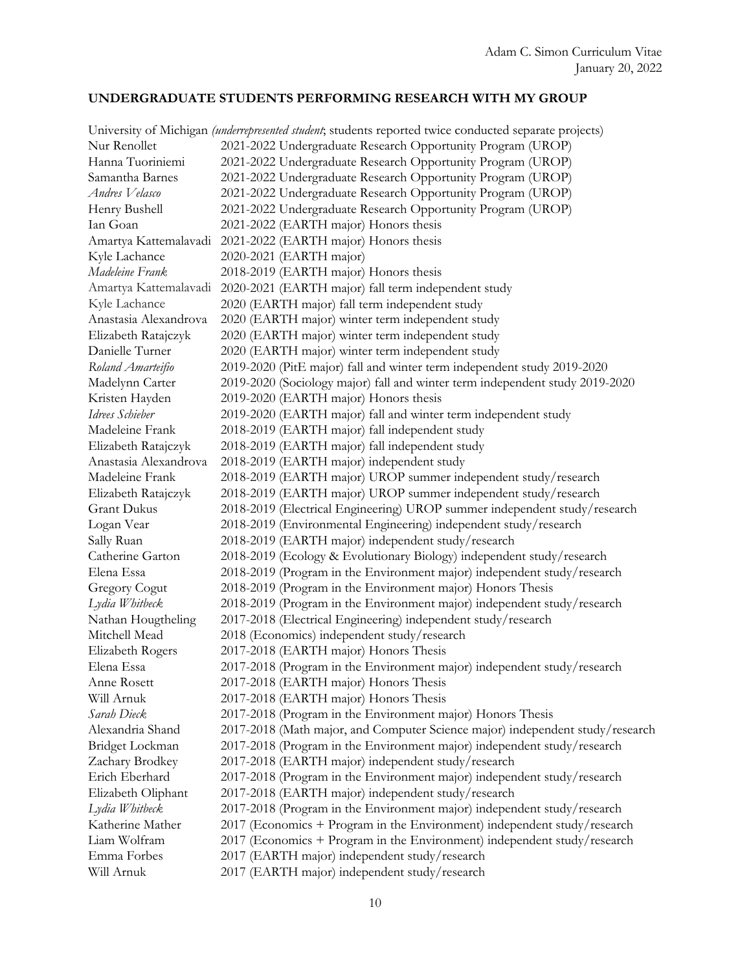# **UNDERGRADUATE STUDENTS PERFORMING RESEARCH WITH MY GROUP**

|                       | University of Michigan (underrepresented student; students reported twice conducted separate projects) |
|-----------------------|--------------------------------------------------------------------------------------------------------|
| Nur Renollet          | 2021-2022 Undergraduate Research Opportunity Program (UROP)                                            |
| Hanna Tuoriniemi      | 2021-2022 Undergraduate Research Opportunity Program (UROP)                                            |
| Samantha Barnes       | 2021-2022 Undergraduate Research Opportunity Program (UROP)                                            |
| Andres Velasco        | 2021-2022 Undergraduate Research Opportunity Program (UROP)                                            |
| Henry Bushell         | 2021-2022 Undergraduate Research Opportunity Program (UROP)                                            |
| Ian Goan              | 2021-2022 (EARTH major) Honors thesis                                                                  |
| Amartya Kattemalavadi | 2021-2022 (EARTH major) Honors thesis                                                                  |
| Kyle Lachance         | 2020-2021 (EARTH major)                                                                                |
| Madeleine Frank       | 2018-2019 (EARTH major) Honors thesis                                                                  |
| Amartya Kattemalavadi | 2020-2021 (EARTH major) fall term independent study                                                    |
| Kyle Lachance         | 2020 (EARTH major) fall term independent study                                                         |
| Anastasia Alexandrova | 2020 (EARTH major) winter term independent study                                                       |
| Elizabeth Ratajczyk   | 2020 (EARTH major) winter term independent study                                                       |
| Danielle Turner       | 2020 (EARTH major) winter term independent study                                                       |
| Roland Amarteifio     | 2019-2020 (PitE major) fall and winter term independent study 2019-2020                                |
| Madelynn Carter       | 2019-2020 (Sociology major) fall and winter term independent study 2019-2020                           |
| Kristen Hayden        | 2019-2020 (EARTH major) Honors thesis                                                                  |
| Idrees Schieber       | 2019-2020 (EARTH major) fall and winter term independent study                                         |
| Madeleine Frank       | 2018-2019 (EARTH major) fall independent study                                                         |
| Elizabeth Ratajczyk   | 2018-2019 (EARTH major) fall independent study                                                         |
| Anastasia Alexandrova | 2018-2019 (EARTH major) independent study                                                              |
| Madeleine Frank       | 2018-2019 (EARTH major) UROP summer independent study/research                                         |
| Elizabeth Ratajczyk   | 2018-2019 (EARTH major) UROP summer independent study/research                                         |
| <b>Grant Dukus</b>    | 2018-2019 (Electrical Engineering) UROP summer independent study/research                              |
| Logan Vear            | 2018-2019 (Environmental Engineering) independent study/research                                       |
| Sally Ruan            | 2018-2019 (EARTH major) independent study/research                                                     |
| Catherine Garton      | 2018-2019 (Ecology & Evolutionary Biology) independent study/research                                  |
| Elena Essa            | 2018-2019 (Program in the Environment major) independent study/research                                |
| <b>Gregory Cogut</b>  | 2018-2019 (Program in the Environment major) Honors Thesis                                             |
| Lydia Whitbeck        | 2018-2019 (Program in the Environment major) independent study/research                                |
| Nathan Hougtheling    | 2017-2018 (Electrical Engineering) independent study/research                                          |
| Mitchell Mead         | 2018 (Economics) independent study/research                                                            |
| Elizabeth Rogers      | 2017-2018 (EARTH major) Honors Thesis                                                                  |
| Elena Essa            | 2017-2018 (Program in the Environment major) independent study/research                                |
| Anne Rosett           | 2017-2018 (EARTH major) Honors Thesis                                                                  |
| Will Arnuk            | 2017-2018 (EARTH major) Honors Thesis                                                                  |
| Sarah Dieck           | 2017-2018 (Program in the Environment major) Honors Thesis                                             |
| Alexandria Shand      | 2017-2018 (Math major, and Computer Science major) independent study/research                          |
| Bridget Lockman       | 2017-2018 (Program in the Environment major) independent study/research                                |
| Zachary Brodkey       | 2017-2018 (EARTH major) independent study/research                                                     |
| Erich Eberhard        | 2017-2018 (Program in the Environment major) independent study/research                                |
|                       |                                                                                                        |
| Elizabeth Oliphant    | 2017-2018 (EARTH major) independent study/research                                                     |
| Lydia Whitbeck        | 2017-2018 (Program in the Environment major) independent study/research                                |
| Katherine Mather      | 2017 (Economics + Program in the Environment) independent study/research                               |
| Liam Wolfram          | 2017 (Economics + Program in the Environment) independent study/research                               |
| Emma Forbes           | 2017 (EARTH major) independent study/research                                                          |
| Will Arnuk            | 2017 (EARTH major) independent study/research                                                          |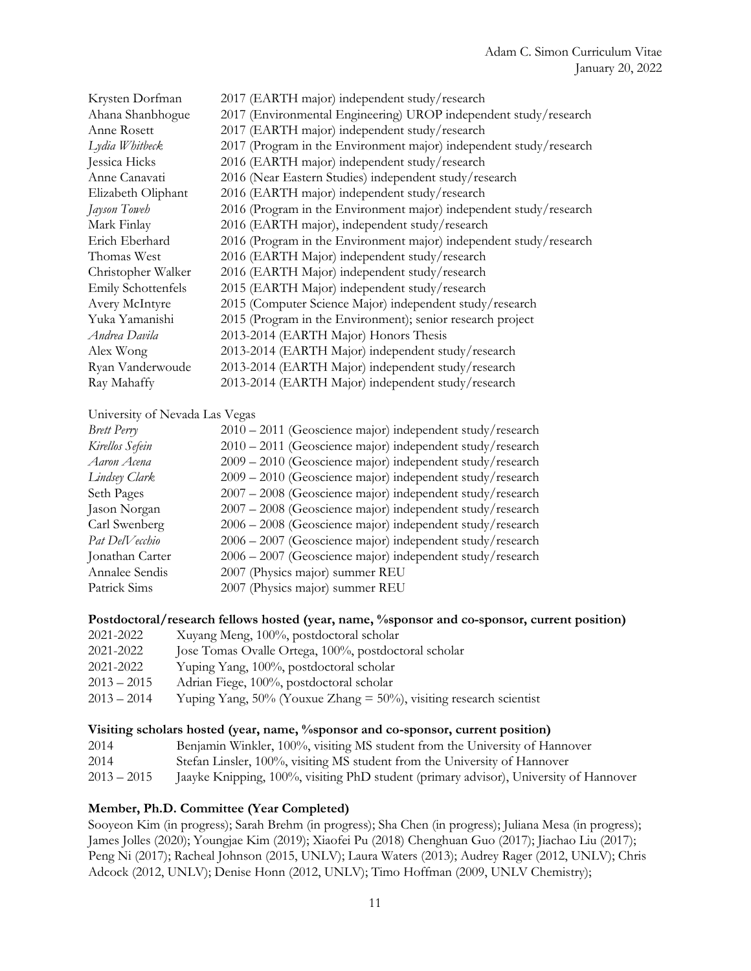| Krysten Dorfman    | 2017 (EARTH major) independent study/research                      |
|--------------------|--------------------------------------------------------------------|
| Ahana Shanbhogue   | 2017 (Environmental Engineering) UROP independent study/research   |
| Anne Rosett        | 2017 (EARTH major) independent study/research                      |
| Lydia Whitbeck     | 2017 (Program in the Environment major) independent study/research |
| Jessica Hicks      | 2016 (EARTH major) independent study/research                      |
| Anne Canavati      | 2016 (Near Eastern Studies) independent study/research             |
| Elizabeth Oliphant | 2016 (EARTH major) independent study/research                      |
| Jayson Toweh       | 2016 (Program in the Environment major) independent study/research |
| Mark Finlay        | 2016 (EARTH major), independent study/research                     |
| Erich Eberhard     | 2016 (Program in the Environment major) independent study/research |
| Thomas West        | 2016 (EARTH Major) independent study/research                      |
| Christopher Walker | 2016 (EARTH Major) independent study/research                      |
| Emily Schottenfels | 2015 (EARTH Major) independent study/research                      |
| Avery McIntyre     | 2015 (Computer Science Major) independent study/research           |
| Yuka Yamanishi     | 2015 (Program in the Environment); senior research project         |
| Andrea Davila      | 2013-2014 (EARTH Major) Honors Thesis                              |
| Alex Wong          | 2013-2014 (EARTH Major) independent study/research                 |
| Ryan Vanderwoude   | 2013-2014 (EARTH Major) independent study/research                 |
| Ray Mahaffy        | 2013-2014 (EARTH Major) independent study/research                 |

# University of Nevada Las Vegas

| <b>Brett Perry</b> | 2010 – 2011 (Geoscience major) independent study/research |
|--------------------|-----------------------------------------------------------|
| Kirellos Sefein    | 2010 – 2011 (Geoscience major) independent study/research |
| Aaron Acena        | 2009 - 2010 (Geoscience major) independent study/research |
| Lindsey Clark      | 2009 - 2010 (Geoscience major) independent study/research |
| Seth Pages         | 2007 - 2008 (Geoscience major) independent study/research |
| Jason Norgan       | 2007 - 2008 (Geoscience major) independent study/research |
| Carl Swenberg      | 2006 - 2008 (Geoscience major) independent study/research |
| Pat DelVecchio     | 2006 - 2007 (Geoscience major) independent study/research |
| Jonathan Carter    | 2006 - 2007 (Geoscience major) independent study/research |
| Annalee Sendis     | 2007 (Physics major) summer REU                           |
| Patrick Sims       | 2007 (Physics major) summer REU                           |

#### Postdoctoral/research fellows hosted (year, name, %sponsor and co-sponsor, current position)

| 2021-2022     | Xuyang Meng, 100%, postdoctoral scholar                                   |
|---------------|---------------------------------------------------------------------------|
| 2021-2022     | Jose Tomas Ovalle Ortega, 100%, postdoctoral scholar                      |
| 2021-2022     | Yuping Yang, 100%, postdoctoral scholar                                   |
| $2013 - 2015$ | Adrian Fiege, 100%, postdoctoral scholar                                  |
| $2013 - 2014$ | Yuping Yang, $50\%$ (Youxue Zhang = $50\%$ ), visiting research scientist |

#### **Visiting scholars hosted (year, name, %sponsor and co-sponsor, current position)**

| 2014 |  | Benjamin Winkler, 100%, visiting MS student from the University of Hannover |  |
|------|--|-----------------------------------------------------------------------------|--|
|------|--|-----------------------------------------------------------------------------|--|

- 2014 Stefan Linsler, 100%, visiting MS student from the University of Hannover
- 2013 2015 Jaayke Knipping, 100%, visiting PhD student (primary advisor), University of Hannover

# **Member, Ph.D. Committee (Year Completed)**

Sooyeon Kim (in progress); Sarah Brehm (in progress); Sha Chen (in progress); Juliana Mesa (in progress); James Jolles (2020); Youngjae Kim (2019); Xiaofei Pu (2018) Chenghuan Guo (2017); Jiachao Liu (2017); Peng Ni (2017); Racheal Johnson (2015, UNLV); Laura Waters (2013); Audrey Rager (2012, UNLV); Chris Adcock (2012, UNLV); Denise Honn (2012, UNLV); Timo Hoffman (2009, UNLV Chemistry);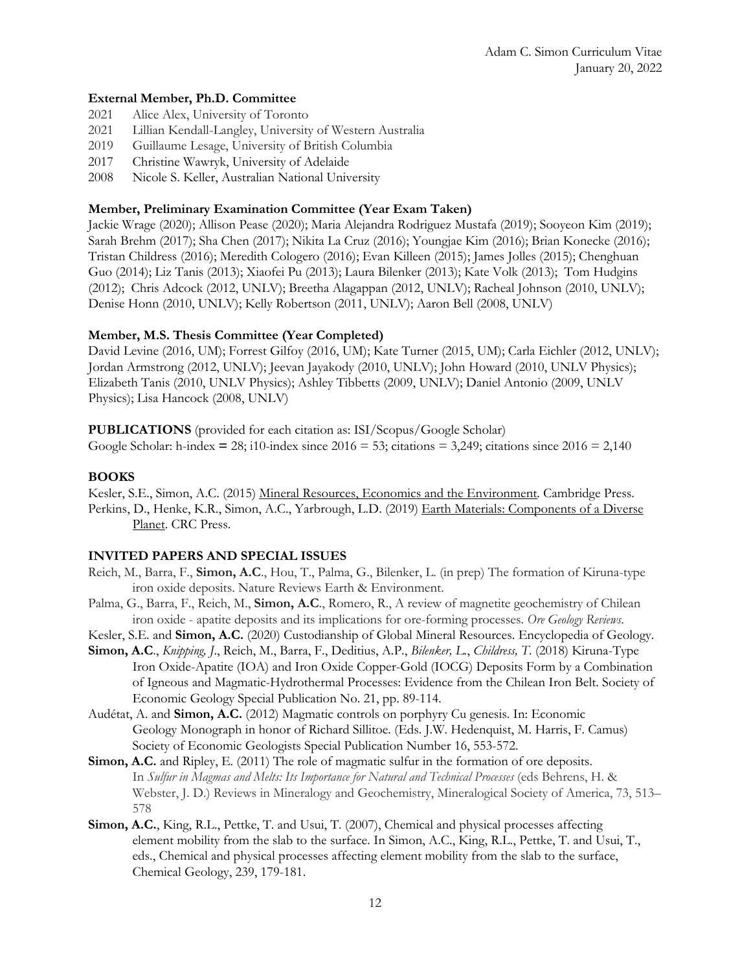# **External Member, Ph.D. Committee**

- 2021 Alice Alex, University of Toronto
- 2021 Lillian Kendall-Langley, University of Western Australia
- 2019 Guillaume Lesage, University of British Columbia
- 2017 Christine Wawryk, University of Adelaide
- 2008 Nicole S. Keller, Australian National University

# **Member, Preliminary Examination Committee (Year Exam Taken)**

Jackie Wrage (2020); Allison Pease (2020); Maria Alejandra Rodriguez Mustafa (2019); Sooyeon Kim (2019); Sarah Brehm (2017); Sha Chen (2017); Nikita La Cruz (2016); Youngjae Kim (2016); Brian Konecke (2016); Tristan Childress (2016); Meredith Cologero (2016); Evan Killeen (2015); James Jolles (2015); Chenghuan Guo (2014); Liz Tanis (2013); Xiaofei Pu (2013); Laura Bilenker (2013); Kate Volk (2013); Tom Hudgins (2012); Chris Adcock (2012, UNLV); Breetha Alagappan (2012, UNLV); Racheal Johnson (2010, UNLV); Denise Honn (2010, UNLV); Kelly Robertson (2011, UNLV); Aaron Bell (2008, UNLV)

# **Member, M.S. Thesis Committee (Year Completed)**

David Levine (2016, UM); Forrest Gilfoy (2016, UM); Kate Turner (2015, UM); Carla Eichler (2012, UNLV); Jordan Armstrong (2012, UNLV); Jeevan Jayakody (2010, UNLV); John Howard (2010, UNLV Physics); Elizabeth Tanis (2010, UNLV Physics); Ashley Tibbetts (2009, UNLV); Daniel Antonio (2009, UNLV Physics); Lisa Hancock (2008, UNLV)

**PUBLICATIONS** (provided for each citation as: ISI/Scopus/Google Scholar) Google Scholar: h-index  $= 28$ ; i10-index since  $2016 = 53$ ; citations  $= 3,249$ ; citations since  $2016 = 2,140$ 

# **BOOKS**

Kesler, S.E., Simon, A.C. (2015) Mineral Resources, Economics and the Environment. Cambridge Press. Perkins, D., Henke, K.R., Simon, A.C., Yarbrough, L.D. (2019) Earth Materials: Components of a Diverse Planet. CRC Press.

# **INVITED PAPERS AND SPECIAL ISSUES**

- Reich, M., Barra, F., **Simon, A.C**., Hou, T., Palma, G., Bilenker, L. (in prep) The formation of Kiruna-type iron oxide deposits. Nature Reviews Earth & Environment.
- Palma, G., Barra, F., Reich, M., **Simon, A.C**., Romero, R., A review of magnetite geochemistry of Chilean iron oxide - apatite deposits and its implications for ore-forming processes. *Ore Geology Reviews*.

Kesler, S.E. and **Simon, A.C.** (2020) Custodianship of Global Mineral Resources. Encyclopedia of Geology.

- **Simon, A.C**., *Knipping, J*., Reich, M., Barra, F., Deditius, A.P., *Bilenker, L.*, *Childress, T*. (2018) Kiruna-Type Iron Oxide-Apatite (IOA) and Iron Oxide Copper-Gold (IOCG) Deposits Form by a Combination of Igneous and Magmatic-Hydrothermal Processes: Evidence from the Chilean Iron Belt. Society of Economic Geology Special Publication No. 21, pp. 89-114.
- Audétat, A. and **Simon, A.C.** (2012) Magmatic controls on porphyry Cu genesis. In: Economic Geology Monograph in honor of Richard Sillitoe. (Eds. J.W. Hedenquist, M. Harris, F. Camus) Society of Economic Geologists Special Publication Number 16, 553-572.
- **Simon, A.C.** and Ripley, E. (2011) The role of magmatic sulfur in the formation of ore deposits. In *Sulfur in Magmas and Melts: Its Importance for Natural and Technical Processes* (eds Behrens, H. & Webster, J. D.) Reviews in Mineralogy and Geochemistry, Mineralogical Society of America, 73, 513– 578
- **Simon, A.C.**, King, R.L., Pettke, T. and Usui, T. (2007), Chemical and physical processes affecting element mobility from the slab to the surface. In Simon, A.C., King, R.L., Pettke, T. and Usui, T., eds., Chemical and physical processes affecting element mobility from the slab to the surface, Chemical Geology, 239, 179-181.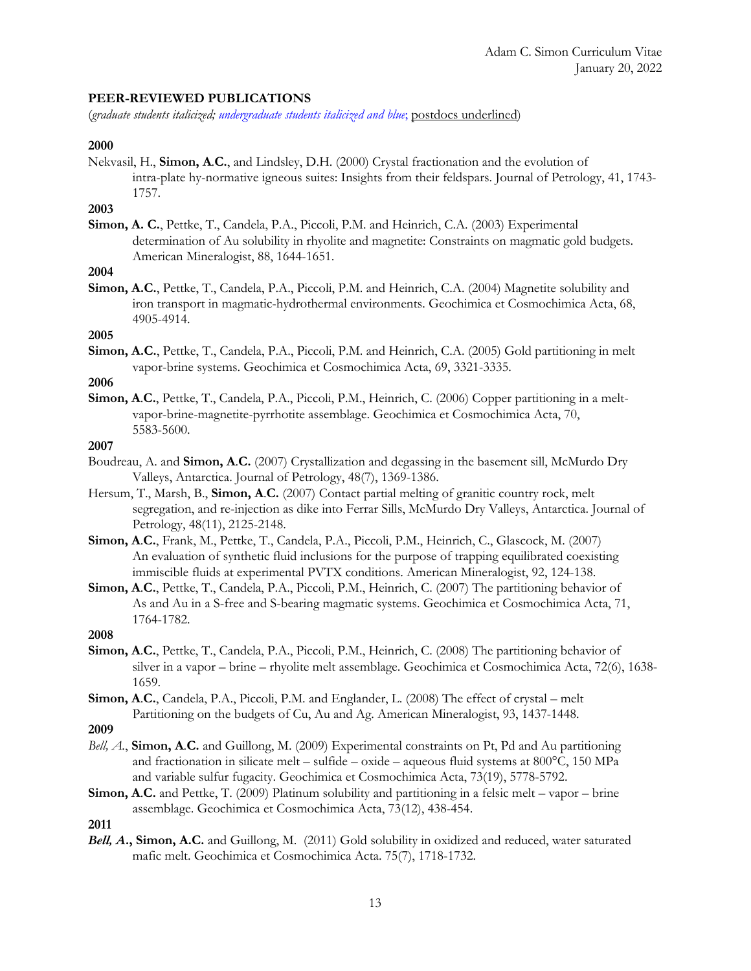### **PEER-REVIEWED PUBLICATIONS**

(*graduate students italicized; undergraduate students italicized and blue*; postdocs underlined)

#### **2000**

Nekvasil, H., **Simon, A**.**C.**, and Lindsley, D.H. (2000) Crystal fractionation and the evolution of intra-plate hy-normative igneous suites: Insights from their feldspars. Journal of Petrology, 41, 1743- 1757.

# **2003**

**Simon, A. C.**, Pettke, T., Candela, P.A., Piccoli, P.M. and Heinrich, C.A. (2003) Experimental determination of Au solubility in rhyolite and magnetite: Constraints on magmatic gold budgets. American Mineralogist, 88, 1644-1651.

# **2004**

**Simon, A.C.**, Pettke, T., Candela, P.A., Piccoli, P.M. and Heinrich, C.A. (2004) Magnetite solubility and iron transport in magmatic-hydrothermal environments. Geochimica et Cosmochimica Acta, 68, 4905-4914.

# **2005**

**Simon, A.C.**, Pettke, T., Candela, P.A., Piccoli, P.M. and Heinrich, C.A. (2005) Gold partitioning in melt vapor-brine systems. Geochimica et Cosmochimica Acta, 69, 3321-3335.

### **2006**

**Simon, A**.**C.**, Pettke, T., Candela, P.A., Piccoli, P.M., Heinrich, C. (2006) Copper partitioning in a meltvapor-brine-magnetite-pyrrhotite assemblage. Geochimica et Cosmochimica Acta, 70, 5583-5600.

# **2007**

- Boudreau, A. and **Simon, A**.**C.** (2007) Crystallization and degassing in the basement sill, McMurdo Dry Valleys, Antarctica. Journal of Petrology, 48(7), 1369-1386.
- Hersum, T., Marsh, B., **Simon, A**.**C.** (2007) Contact partial melting of granitic country rock, melt segregation, and re-injection as dike into Ferrar Sills, McMurdo Dry Valleys, Antarctica. Journal of Petrology, 48(11), 2125-2148.
- **Simon, A**.**C.**, Frank, M., Pettke, T., Candela, P.A., Piccoli, P.M., Heinrich, C., Glascock, M. (2007) An evaluation of synthetic fluid inclusions for the purpose of trapping equilibrated coexisting immiscible fluids at experimental PVTX conditions. American Mineralogist, 92, 124-138.
- **Simon, A**.**C.**, Pettke, T., Candela, P.A., Piccoli, P.M., Heinrich, C. (2007) The partitioning behavior of As and Au in a S-free and S-bearing magmatic systems. Geochimica et Cosmochimica Acta, 71, 1764-1782.

#### **2008**

- **Simon, A**.**C.**, Pettke, T., Candela, P.A., Piccoli, P.M., Heinrich, C. (2008) The partitioning behavior of silver in a vapor – brine – rhyolite melt assemblage. Geochimica et Cosmochimica Acta, 72(6), 1638- 1659.
- **Simon, A**.**C.**, Candela, P.A., Piccoli, P.M. and Englander, L. (2008) The effect of crystal melt Partitioning on the budgets of Cu, Au and Ag. American Mineralogist, 93, 1437-1448.

**2009**

- *Bell, A.*, **Simon, A**.**C.** and Guillong, M. (2009) Experimental constraints on Pt, Pd and Au partitioning and fractionation in silicate melt – sulfide – oxide – aqueous fluid systems at 800°C, 150 MPa and variable sulfur fugacity. Geochimica et Cosmochimica Acta, 73(19), 5778-5792.
- **Simon, A**.**C.** and Pettke, T. (2009) Platinum solubility and partitioning in a felsic melt vapor brine assemblage. Geochimica et Cosmochimica Acta, 73(12), 438-454.

**2011**

*Bell, A***., Simon, A.C.** and Guillong, M. (2011) Gold solubility in oxidized and reduced, water saturated mafic melt. Geochimica et Cosmochimica Acta. 75(7), 1718-1732.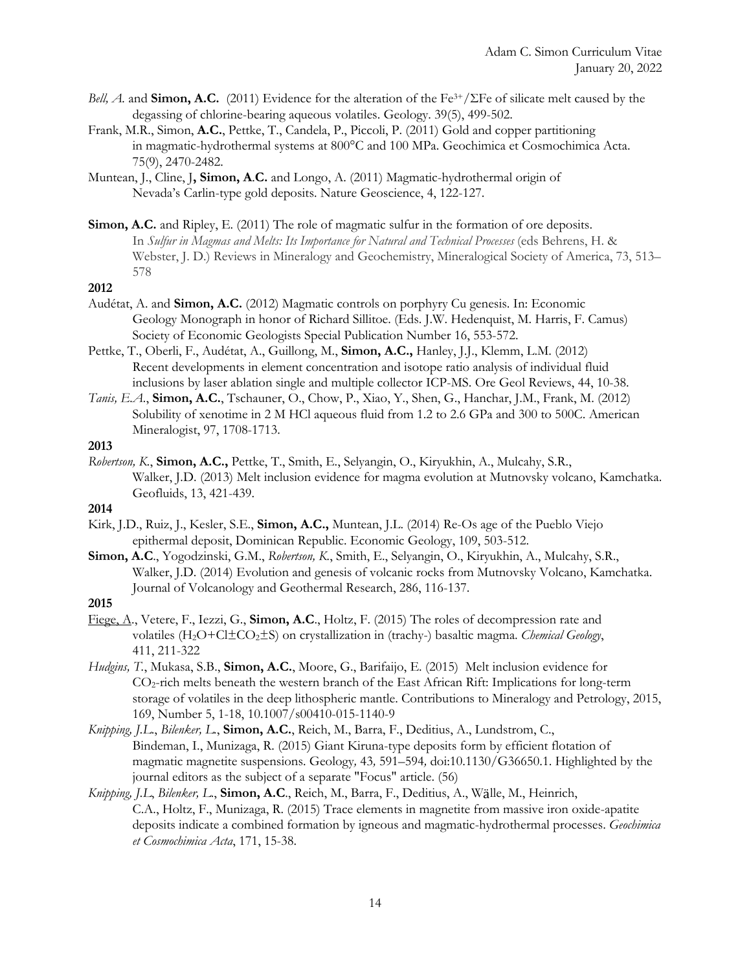- *Bell, A.* and **Simon, A.C.** (2011) Evidence for the alteration of the Fe3+/ΣFe of silicate melt caused by the degassing of chlorine-bearing aqueous volatiles. Geology. 39(5), 499-502.
- Frank, M.R., Simon, **A.C.**, Pettke, T., Candela, P., Piccoli, P. (2011) Gold and copper partitioning in magmatic-hydrothermal systems at 800°C and 100 MPa. Geochimica et Cosmochimica Acta. 75(9), 2470-2482.
- Muntean, J., Cline, J**, Simon, A**.**C.** and Longo, A. (2011) Magmatic-hydrothermal origin of Nevada's Carlin-type gold deposits. Nature Geoscience, 4, 122-127.
- **Simon, A.C.** and Ripley, E. (2011) The role of magmatic sulfur in the formation of ore deposits. In *Sulfur in Magmas and Melts: Its Importance for Natural and Technical Processes* (eds Behrens, H. & Webster, J. D.) Reviews in Mineralogy and Geochemistry, Mineralogical Society of America, 73, 513– 578

#### **2012**

- Audétat, A. and **Simon, A.C.** (2012) Magmatic controls on porphyry Cu genesis. In: Economic Geology Monograph in honor of Richard Sillitoe. (Eds. J.W. Hedenquist, M. Harris, F. Camus) Society of Economic Geologists Special Publication Number 16, 553-572.
- Pettke, T., Oberli, F., Audétat, A., Guillong, M., **Simon, A.C.,** Hanley, J.J., Klemm, L.M. (2012) Recent developments in element concentration and isotope ratio analysis of individual fluid inclusions by laser ablation single and multiple collector ICP-MS. Ore Geol Reviews, 44, 10-38.
- *Tanis, E.A.*, **Simon, A.C.**, Tschauner, O., Chow, P., Xiao, Y., Shen, G., Hanchar, J.M., Frank, M. (2012) Solubility of xenotime in 2 M HCl aqueous fluid from 1.2 to 2.6 GPa and 300 to 500C. American Mineralogist, 97, 1708-1713.

# **2013**

*Robertson, K.*, **Simon, A.C.,** Pettke, T., Smith, E., Selyangin, O., Kiryukhin, A., Mulcahy, S.R., Walker, J.D. (2013) Melt inclusion evidence for magma evolution at Mutnovsky volcano, Kamchatka. Geofluids, 13, 421-439.

### **2014**

- Kirk, J.D., Ruiz, J., Kesler, S.E., **Simon, A.C.,** Muntean, J.L. (2014) Re-Os age of the Pueblo Viejo epithermal deposit, Dominican Republic. Economic Geology, 109, 503-512.
- **Simon, A.C**., Yogodzinski, G.M., *Robertson, K.*, Smith, E., Selyangin, O., Kiryukhin, A., Mulcahy, S.R., Walker, J.D. (2014) Evolution and genesis of volcanic rocks from Mutnovsky Volcano, Kamchatka. Journal of Volcanology and Geothermal Research, 286, 116-137.

### **2015**

- Fiege, A., Vetere, F., Iezzi, G., **Simon, A.C**., Holtz, F. (2015) The roles of decompression rate and volatiles (H2O+Cl±CO2±S) on crystallization in (trachy-) basaltic magma. *Chemical Geology*, 411, 211-322
- *Hudgins, T.*, Mukasa, S.B., **Simon, A.C.**, Moore, G., Barifaijo, E. (2015) Melt inclusion evidence for CO2-rich melts beneath the western branch of the East African Rift: Implications for long-term storage of volatiles in the deep lithospheric mantle. Contributions to Mineralogy and Petrology, 2015, 169, Number 5, 1-18, 10.1007/s00410-015-1140-9
- *Knipping, J.L*., *Bilenker, L.*, **Simon, A.C.**, Reich, M., Barra, F., Deditius, A., Lundstrom, C., Bindeman, I., Munizaga, R. (2015) Giant Kiruna-type deposits form by efficient flotation of magmatic magnetite suspensions. Geology*,* 43*,* 591*–*594*,* doi:10.1130/G36650.1. Highlighted by the journal editors as the subject of a separate "Focus" article. (56)
- *Knipping, J.L*, *Bilenker, L*., **Simon, A.C**., Reich, M., Barra, F., Deditius, A., Wӓlle, M., Heinrich, C.A., Holtz, F., Munizaga, R. (2015) Trace elements in magnetite from massive iron oxide-apatite deposits indicate a combined formation by igneous and magmatic-hydrothermal processes. *Geochimica et Cosmochimica Acta*, 171, 15-38.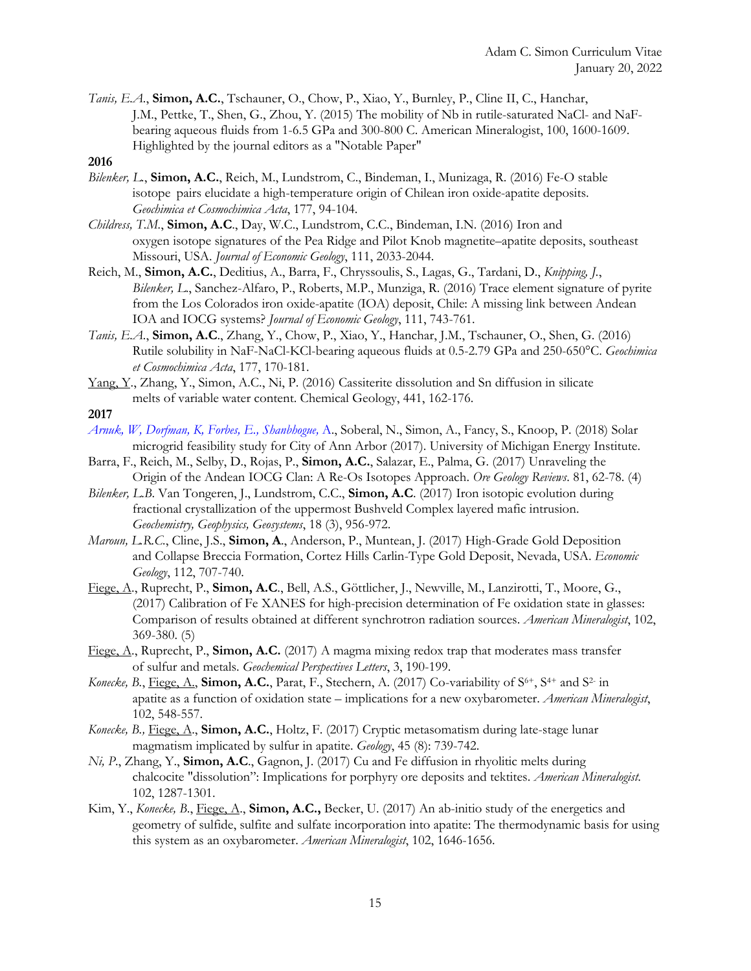- *Tanis, E.A.*, **Simon, A.C.**, Tschauner, O., Chow, P., Xiao, Y., Burnley, P., Cline II, C., Hanchar, J.M., Pettke, T., Shen, G., Zhou, Y. (2015) The mobility of Nb in rutile-saturated NaCl- and NaFbearing aqueous fluids from 1-6.5 GPa and 300-800 C. American Mineralogist, 100, 1600-1609. Highlighted by the journal editors as a "Notable Paper"
- **2016**
- *Bilenker, L.*, **Simon, A.C.**, Reich, M., Lundstrom, C., Bindeman, I., Munizaga, R. (2016) Fe-O stable isotope pairs elucidate a high-temperature origin of Chilean iron oxide-apatite deposits. *Geochimica et Cosmochimica Acta*, 177, 94-104.
- *Childress, T.M.*, **Simon, A.C**., Day, W.C., Lundstrom, C.C., Bindeman, I.N. (2016) Iron and oxygen isotope signatures of the Pea Ridge and Pilot Knob magnetite–apatite deposits, southeast Missouri, USA. *Journal of Economic Geology*, 111, 2033-2044.
- Reich, M., **Simon, A.C.**, Deditius, A., Barra, F., Chryssoulis, S., Lagas, G., Tardani, D., *Knipping, J.*, *Bilenker, L*., Sanchez-Alfaro, P., Roberts, M.P., Munziga, R. (2016) Trace element signature of pyrite from the Los Colorados iron oxide-apatite (IOA) deposit, Chile: A missing link between Andean IOA and IOCG systems? *Journal of Economic Geology*, 111, 743-761.
- *Tanis, E.A.*, **Simon, A.C**., Zhang, Y., Chow, P., Xiao, Y., Hanchar, J.M., Tschauner, O., Shen, G. (2016) Rutile solubility in NaF-NaCl-KCl-bearing aqueous fluids at 0.5-2.79 GPa and 250-650°C. *Geochimica et Cosmochimica Acta*, 177, 170-181.
- Yang, Y., Zhang, Y., Simon, A.C., Ni, P. (2016) Cassiterite dissolution and Sn diffusion in silicate melts of variable water content. Chemical Geology, 441, 162-176.
- **2017**
- *Arnuk, W, Dorfman, K, Forbes, E., Shanbhogue,* A., Soberal, N., Simon, A., Fancy, S., Knoop, P. (2018) Solar microgrid feasibility study for City of Ann Arbor (2017). University of Michigan Energy Institute.
- Barra, F., Reich, M., Selby, D., Rojas, P., **Simon, A.C.**, Salazar, E., Palma, G. (2017) Unraveling the Origin of the Andean IOCG Clan: A Re-Os Isotopes Approach. *Ore Geology Reviews*. 81, 62-78. (4)
- *Bilenker, L*.*B*. Van Tongeren, J., Lundstrom, C.C., **Simon, A.C**. (2017) Iron isotopic evolution during fractional crystallization of the uppermost Bushveld Complex layered mafic intrusion. *Geochemistry, Geophysics, Geosystems*, 18 (3), 956-972.
- *Maroun, L.R.C.*, Cline, J.S., **Simon, A**., Anderson, P., Muntean, J. (2017) High-Grade Gold Deposition and Collapse Breccia Formation, Cortez Hills Carlin-Type Gold Deposit, Nevada, USA. *Economic Geology*, 112, 707-740.
- Fiege, A., Ruprecht, P., **Simon, A.C**., Bell, A.S., Göttlicher, J., Newville, M., Lanzirotti, T., Moore, G., (2017) Calibration of Fe XANES for high-precision determination of Fe oxidation state in glasses: Comparison of results obtained at different synchrotron radiation sources. *American Mineralogist*, 102, 369-380. (5)
- Fiege, A., Ruprecht, P., **Simon, A.C.** (2017) A magma mixing redox trap that moderates mass transfer of sulfur and metals. *Geochemical Perspectives Letters*, 3, 190-199.
- Konecke, B., Fiege, A., Simon, A.C., Parat, F., Stechern, A. (2017) Co-variability of S<sup>6+</sup>, S<sup>4+</sup> and S<sup>2-</sup> in apatite as a function of oxidation state – implications for a new oxybarometer. *American Mineralogist*, 102, 548-557.
- *Konecke, B.,* Fiege, A., **Simon, A.C.**, Holtz, F. (2017) Cryptic metasomatism during late-stage lunar magmatism implicated by sulfur in apatite. *Geology*, 45 (8): 739-742.
- *Ni, P*., Zhang, Y., **Simon, A.C**., Gagnon, J. (2017) Cu and Fe diffusion in rhyolitic melts during chalcocite "dissolution": Implications for porphyry ore deposits and tektites. *American Mineralogist*. 102, 1287-1301.
- Kim, Y., *Konecke, B*., Fiege, A., **Simon, A.C.,** Becker, U. (2017) An ab-initio study of the energetics and geometry of sulfide, sulfite and sulfate incorporation into apatite: The thermodynamic basis for using this system as an oxybarometer. *American Mineralogist*, 102, 1646-1656.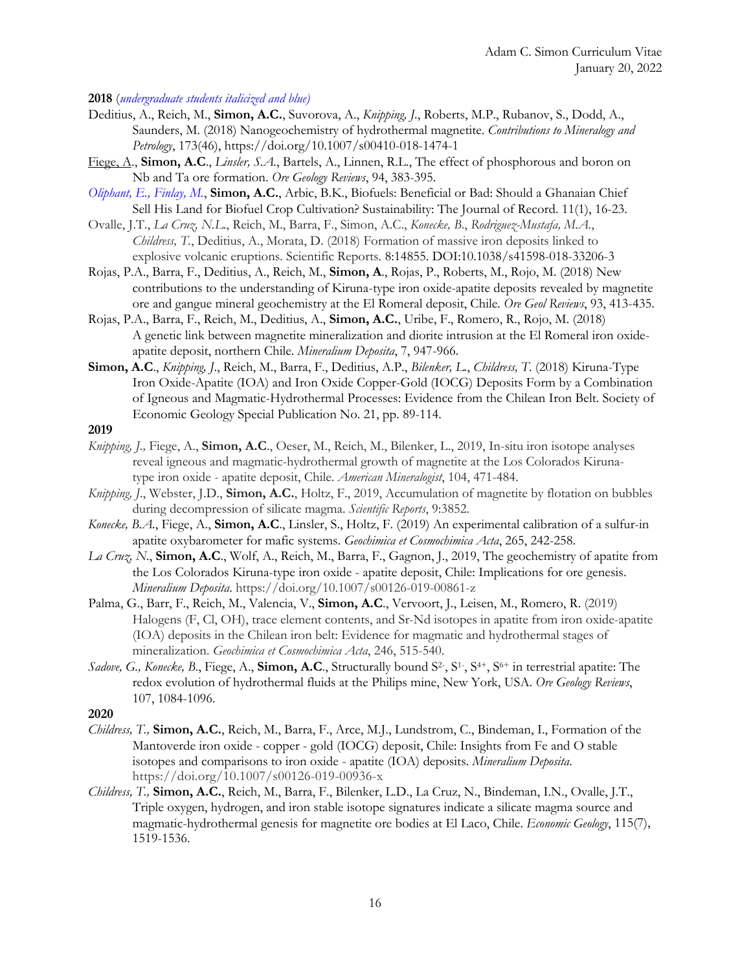**2018** (*undergraduate students italicized and blue)*

- Deditius, A., Reich, M., **Simon, A.C.**, Suvorova, A., *Knipping, J*., Roberts, M.P., Rubanov, S., Dodd, A., Saunders, M. (2018) Nanogeochemistry of hydrothermal magnetite. *Contributions to Mineralogy and Petrology*, 173(46), https://doi.org/10.1007/s00410-018-1474-1
- Fiege, A., **Simon, A.C**., *Linsler, S.A.*, Bartels, A., Linnen, R.L., The effect of phosphorous and boron on Nb and Ta ore formation. *Ore Geology Reviews*, 94, 383-395.
- *Oliphant, E., Finlay, M.*, **Simon, A.C.**, Arbic, B.K., Biofuels: Beneficial or Bad: Should a Ghanaian Chief Sell His Land for Biofuel Crop Cultivation? Sustainability: The Journal of Record. 11(1), 16-23.
- Ovalle, J.T., *La Cruz, N.L*., Reich, M., Barra, F., Simon, A.C., *Konecke, B*., *Rodriguez-Mustafa, M.A.*, *Childress, T.*, Deditius, A., Morata, D. (2018) Formation of massive iron deposits linked to explosive volcanic eruptions. Scientific Reports. 8:14855. DOI:10.1038/s41598-018-33206-3
- Rojas, P.A., Barra, F., Deditius, A., Reich, M., **Simon, A**., Rojas, P., Roberts, M., Rojo, M. (2018) New contributions to the understanding of Kiruna-type iron oxide-apatite deposits revealed by magnetite ore and gangue mineral geochemistry at the El Romeral deposit, Chile. *Ore Geol Reviews*, 93, 413-435.
- Rojas, P.A., Barra, F., Reich, M., Deditius, A., **Simon, A.C.**, Uribe, F., Romero, R., Rojo, M. (2018) A genetic link between magnetite mineralization and diorite intrusion at the El Romeral iron oxideapatite deposit, northern Chile. *Mineralium Deposita*, 7, 947-966.
- **Simon, A.C**., *Knipping, J*., Reich, M., Barra, F., Deditius, A.P., *Bilenker, L.*, *Childress, T*. (2018) Kiruna-Type Iron Oxide-Apatite (IOA) and Iron Oxide Copper-Gold (IOCG) Deposits Form by a Combination of Igneous and Magmatic-Hydrothermal Processes: Evidence from the Chilean Iron Belt. Society of Economic Geology Special Publication No. 21, pp. 89-114.
- **2019**
- *Knipping, J.,* Fiege, A., **Simon, A.C**., Oeser, M., Reich, M., Bilenker, L., 2019, In-situ iron isotope analyses reveal igneous and magmatic-hydrothermal growth of magnetite at the Los Colorados Kirunatype iron oxide - apatite deposit, Chile. *American Mineralogist*, 104, 471-484.
- *Knipping, J*., Webster, J.D., **Simon, A.C.**, Holtz, F., 2019, Accumulation of magnetite by flotation on bubbles during decompression of silicate magma. *Scientific Reports*, 9:3852.
- *Konecke, B.A.*, Fiege, A., **Simon, A.C**., Linsler, S., Holtz, F. (2019) An experimental calibration of a sulfur-in apatite oxybarometer for mafic systems. *Geochimica et Cosmochimica Acta*, 265, 242-258.
- *La Cruz, N.*, **Simon, A.C**., Wolf, A., Reich, M., Barra, F., Gagnon, J., 2019, The geochemistry of apatite from the Los Colorados Kiruna-type iron oxide - apatite deposit, Chile: Implications for ore genesis. *Mineralium Deposita*. https://doi.org/10.1007/s00126-019-00861-z
- Palma, G., Barr, F., Reich, M., Valencia, V., **Simon, A.C**., Vervoort, J., Leisen, M., Romero, R. (2019) Halogens (F, Cl, OH), trace element contents, and Sr-Nd isotopes in apatite from iron oxide-apatite (IOA) deposits in the Chilean iron belt: Evidence for magmatic and hydrothermal stages of mineralization. *Geochimica et Cosmochimica Acta*, 246, 515-540.
- Sadove, G., Konecke, B., Fiege, A., Simon, A.C., Structurally bound S<sup>2</sup>, S<sup>1</sup>, S<sup>4+</sup>, S<sup>6+</sup> in terrestrial apatite: The redox evolution of hydrothermal fluids at the Philips mine, New York, USA. *Ore Geology Reviews*, 107, 1084-1096.

#### **2020**

- *Childress, T.,* **Simon, A.C.**, Reich, M., Barra, F., Arce, M.J., Lundstrom, C., Bindeman, I., Formation of the Mantoverde iron oxide - copper - gold (IOCG) deposit, Chile: Insights from Fe and O stable isotopes and comparisons to iron oxide - apatite (IOA) deposits. *Mineralium Deposita*. https://doi.org/10.1007/s00126-019-00936-x
- *Childress, T.,* **Simon, A.C.**, Reich, M., Barra, F., Bilenker, L.D., La Cruz, N., Bindeman, I.N., Ovalle, J.T., Triple oxygen, hydrogen, and iron stable isotope signatures indicate a silicate magma source and magmatic-hydrothermal genesis for magnetite ore bodies at El Laco, Chile. *Economic Geology*, 115(7), 1519-1536.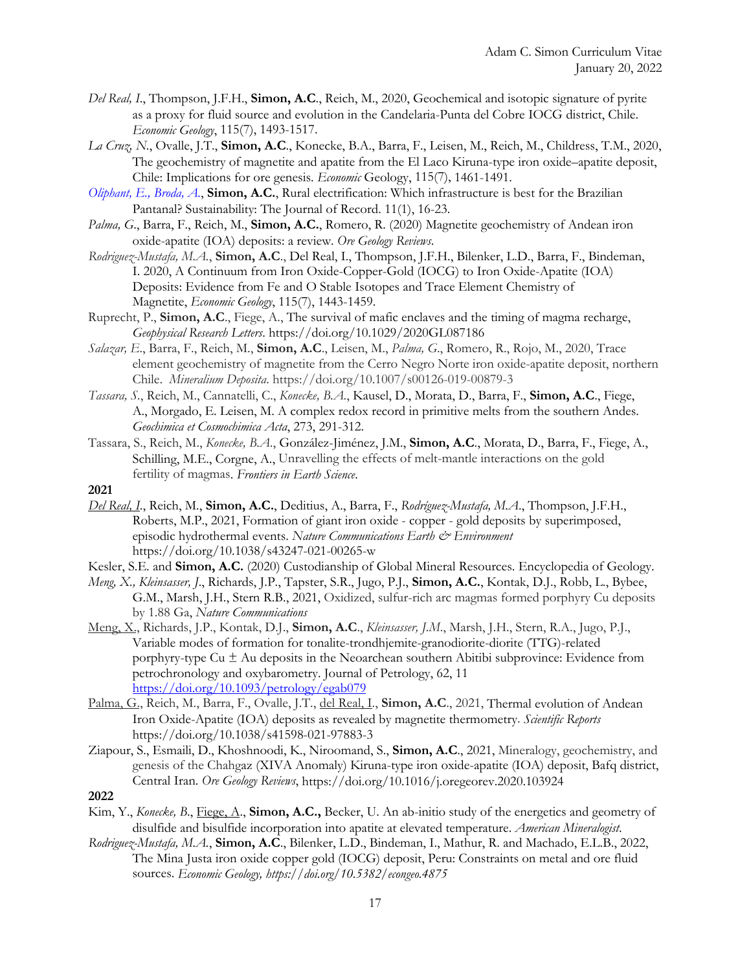- *Del Real, I*., Thompson, J.F.H., **Simon, A.C**., Reich, M., 2020, Geochemical and isotopic signature of pyrite as a proxy for fluid source and evolution in the Candelaria-Punta del Cobre IOCG district, Chile. *Economic Geology*, 115(7), 1493-1517.
- *La Cruz, N.*, Ovalle, J.T., **Simon, A.C**., Konecke, B.A., Barra, F., Leisen, M., Reich, M., Childress, T.M., 2020, The geochemistry of magnetite and apatite from the El Laco Kiruna-type iron oxide–apatite deposit, Chile: Implications for ore genesis. *Economic* Geology, 115(7), 1461-1491.
- *Oliphant, E., Broda, A.*, **Simon, A.C.**, Rural electrification: Which infrastructure is best for the Brazilian Pantanal? Sustainability: The Journal of Record. 11(1), 16-23.
- *Palma, G*., Barra, F., Reich, M., **Simon, A.C.**, Romero, R. (2020) Magnetite geochemistry of Andean iron oxide-apatite (IOA) deposits: a review. *Ore Geology Reviews*.
- *Rodriguez-Mustafa, M.A.*, **Simon, A.C**., Del Real, I., Thompson, J.F.H., Bilenker, L.D., Barra, F., Bindeman, I. 2020, A Continuum from Iron Oxide-Copper-Gold (IOCG) to Iron Oxide-Apatite (IOA) Deposits: Evidence from Fe and O Stable Isotopes and Trace Element Chemistry of Magnetite, *Economic Geology*, 115(7), 1443-1459.
- Ruprecht, P., **Simon, A.C**., Fiege, A., The survival of mafic enclaves and the timing of magma recharge, *Geophysical Research Letters*. https://doi.org/10.1029/2020GL087186
- *Salazar, E*., Barra, F., Reich, M., **Simon, A.C**., Leisen, M., *Palma, G*., Romero, R., Rojo, M., 2020, Trace element geochemistry of magnetite from the Cerro Negro Norte iron oxide-apatite deposit, northern Chile. *Mineralium Deposita*. https://doi.org/10.1007/s00126-019-00879-3
- *Tassara, S.*, Reich, M., Cannatelli, C., *Konecke, B.A.*, Kausel, D., Morata, D., Barra, F., **Simon, A.C**., Fiege, A., Morgado, E. Leisen, M. A complex redox record in primitive melts from the southern Andes. *Geochimica et Cosmochimica Acta*, 273, 291-312.
- Tassara, S., Reich, M., *Konecke, B.A*., González-Jiménez, J.M., **Simon, A.C**., Morata, D., Barra, F., Fiege, A., Schilling, M.E., Corgne, A., Unravelling the effects of melt-mantle interactions on the gold fertility of magmas. *Frontiers in Earth Science*.
- **2021**
- *Del Real, I*., Reich, M., **Simon, A.C.**, Deditius, A., Barra, F., *Rodríguez-Mustafa, M.A*., Thompson, J.F.H., Roberts, M.P., 2021, Formation of giant iron oxide - copper - gold deposits by superimposed, episodic hydrothermal events. *Nature Communications Earth & Environment* https://doi.org/10.1038/s43247-021-00265-w
- Kesler, S.E. and **Simon, A.C.** (2020) Custodianship of Global Mineral Resources. Encyclopedia of Geology.
- *Meng, X., Kleinsasser, J*., Richards, J.P., Tapster, S.R., Jugo, P.J., **Simon, A.C.**, Kontak, D.J., Robb, L., Bybee, G.M., Marsh, J.H., Stern R.B., 2021, Oxidized, sulfur-rich arc magmas formed porphyry Cu deposits by 1.88 Ga, *Nature Communications*
- Meng, X., Richards, J.P., Kontak, D.J., **Simon, A.C**., *Kleinsasser, J.M*., Marsh, J.H., Stern, R.A., Jugo, P.J., Variable modes of formation for tonalite-trondhjemite-granodiorite-diorite (TTG)-related porphyry-type  $Cu \pm Au$  deposits in the Neoarchean southern Abitibi subprovince: Evidence from petrochronology and oxybarometry. Journal of Petrology, 62, 11 https://doi.org/10.1093/petrology/egab079
- Palma, G., Reich, M., Barra, F., Ovalle, J.T., del Real, I., **Simon, A.C**., 2021, Thermal evolution of Andean Iron Oxide-Apatite (IOA) deposits as revealed by magnetite thermometry. *Scientific Reports* https://doi.org/10.1038/s41598-021-97883-3
- Ziapour, S., Esmaili, D., Khoshnoodi, K., Niroomand, S., **Simon, A.C**., 2021, Mineralogy, geochemistry, and genesis of the Chahgaz (XIVA Anomaly) Kiruna-type iron oxide-apatite (IOA) deposit, Bafq district, Central Iran. *Ore Geology Reviews*, https://doi.org/10.1016/j.oregeorev.2020.103924

- Kim, Y., *Konecke, B*., Fiege, A., **Simon, A.C.,** Becker, U. An ab-initio study of the energetics and geometry of disulfide and bisulfide incorporation into apatite at elevated temperature. *American Mineralogist*.
- *Rodriguez-Mustafa, M.A.*, **Simon, A.C**., Bilenker, L.D., Bindeman, I., Mathur, R. and Machado, E.L.B., 2022, The Mina Justa iron oxide copper gold (IOCG) deposit, Peru: Constraints on metal and ore fluid sources. *Economic Geology, https://doi.org/10.5382/econgeo.4875*

**<sup>2022</sup>**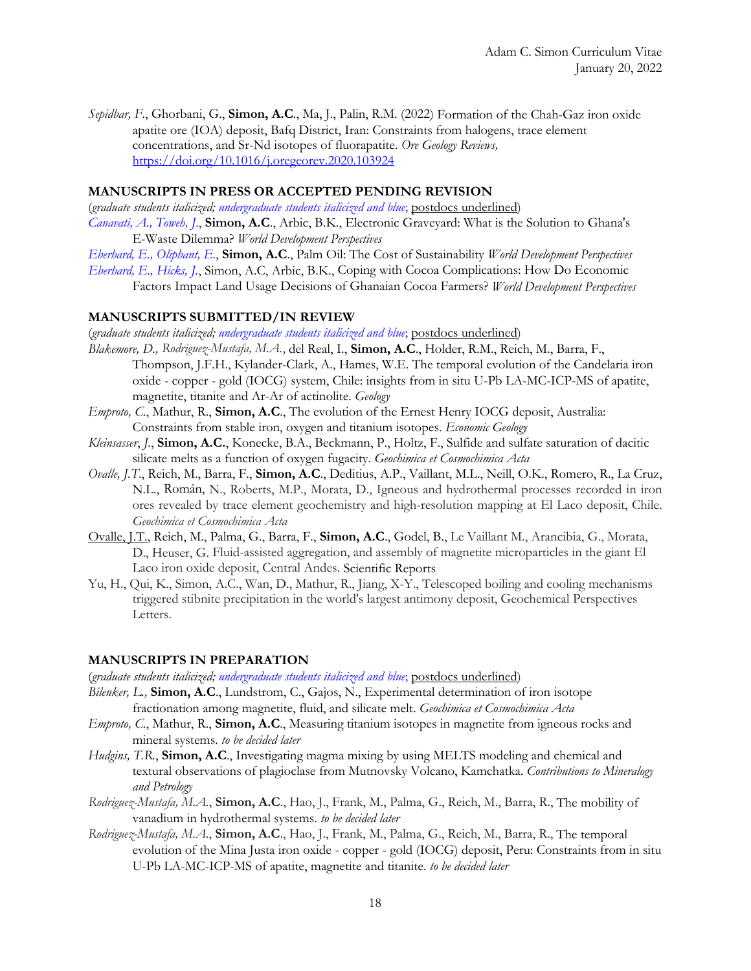*Sepidbar, F*., Ghorbani, G., **Simon, A.C**., Ma, J., Palin, R.M. (2022) Formation of the Chah-Gaz iron oxide apatite ore (IOA) deposit, Bafq District, Iran: Constraints from halogens, trace element concentrations, and Sr-Nd isotopes of fluorapatite. *Ore Geology Reviews,*  https://doi.org/10.1016/j.oregeorev.2020.103924

#### **MANUSCRIPTS IN PRESS OR ACCEPTED PENDING REVISION**

(*graduate students italicized; undergraduate students italicized and blue*; postdocs underlined) *Canavati, A., Toweh, J*., **Simon, A.C**., Arbic, B.K., Electronic Graveyard: What is the Solution to Ghana's E-Waste Dilemma? *World Development Perspectives*

- *Eberhard, E., Oliphant, E.*, **Simon, A.C**., Palm Oil: The Cost of Sustainability *World Development Perspectives*
- *Eberhard, E., Hicks, J.*, Simon, A.C, Arbic, B.K., Coping with Cocoa Complications: How Do Economic Factors Impact Land Usage Decisions of Ghanaian Cocoa Farmers? *World Development Perspectives*

#### **MANUSCRIPTS SUBMITTED/IN REVIEW**

(*graduate students italicized; undergraduate students italicized and blue*; postdocs underlined)

- *Blakemore, D., Rodriguez-Mustafa, M.A.*, del Real, I., **Simon, A.C**., Holder, R.M., Reich, M., Barra, F., Thompson, J.F.H., Kylander-Clark, A., Hames, W.E. The temporal evolution of the Candelaria iron oxide - copper - gold (IOCG) system, Chile: insights from in situ U-Pb LA-MC-ICP-MS of apatite, magnetite, titanite and Ar-Ar of actinolite. *Geology*
- *Emproto, C.*, Mathur, R., **Simon, A.C**., The evolution of the Ernest Henry IOCG deposit, Australia: Constraints from stable iron, oxygen and titanium isotopes. *Economic Geology*
- *Kleinsasser*, *J.*, **Simon, A.C.**, Konecke, B.A., Beckmann, P., Holtz, F., Sulfide and sulfate saturation of dacitic silicate melts as a function of oxygen fugacity. *Geochimica et Cosmochimica Acta*
- *Ovalle, J.T*., Reich, M., Barra, F., **Simon, A.C**., Deditius, A.P., Vaillant, M.L., Neill, O.K., Romero, R., La Cruz, N.L., Román, N., Roberts, M.P., Morata, D., Igneous and hydrothermal processes recorded in iron ores revealed by trace element geochemistry and high-resolution mapping at El Laco deposit, Chile. *Geochimica et Cosmochimica Acta*
- Ovalle, J.T., Reich, M., Palma, G., Barra, F., **Simon, A.C**., Godel, B., Le Vaillant M., Arancibia, G., Morata, D., Heuser, G. Fluid-assisted aggregation, and assembly of magnetite microparticles in the giant El Laco iron oxide deposit, Central Andes. Scientific Reports
- Yu, H., Qui, K., Simon, A.C., Wan, D., Mathur, R., Jiang, X-Y., Telescoped boiling and cooling mechanisms triggered stibnite precipitation in the world's largest antimony deposit, Geochemical Perspectives Letters.

#### **MANUSCRIPTS IN PREPARATION**

(*graduate students italicized; undergraduate students italicized and blue*; postdocs underlined)

- *Bilenker, L.,* **Simon, A.C**., Lundstrom, C., Gajos, N., Experimental determination of iron isotope fractionation among magnetite, fluid, and silicate melt. *Geochimica et Cosmochimica Acta*
- *Emproto, C.*, Mathur, R., **Simon, A.C**., Measuring titanium isotopes in magnetite from igneous rocks and mineral systems. *to be decided later*
- *Hudgins, T.R.*, **Simon, A.C**., Investigating magma mixing by using MELTS modeling and chemical and textural observations of plagioclase from Mutnovsky Volcano, Kamchatka. *Contributions to Mineralogy and Petrology*
- *Rodriguez-Mustafa, M.A.*, **Simon, A.C**., Hao, J., Frank, M., Palma, G., Reich, M., Barra, R., The mobility of vanadium in hydrothermal systems. *to be decided later*
- *Rodriguez-Mustafa, M.A.*, **Simon, A.C**., Hao, J., Frank, M., Palma, G., Reich, M., Barra, R., The temporal evolution of the Mina Justa iron oxide - copper - gold (IOCG) deposit, Peru: Constraints from in situ U-Pb LA-MC-ICP-MS of apatite, magnetite and titanite. *to be decided later*